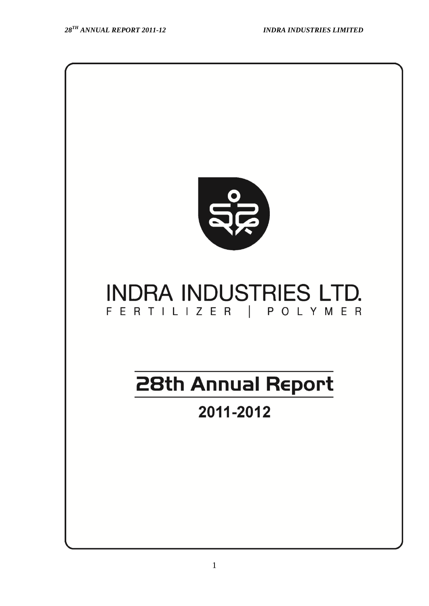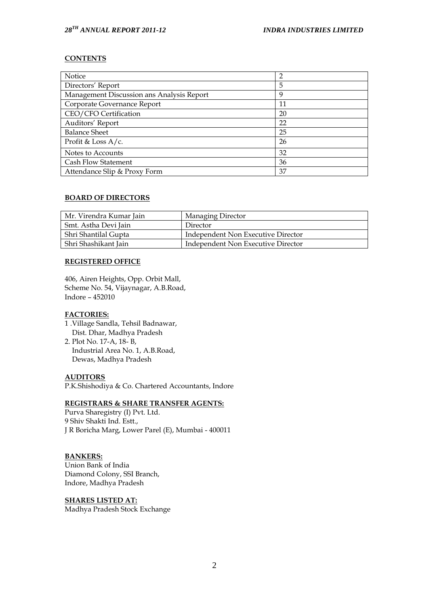#### **CONTENTS**

| Notice                                    | $\overline{2}$ |
|-------------------------------------------|----------------|
| Directors' Report                         | 5              |
| Management Discussion ans Analysis Report | 9              |
| Corporate Governance Report               | 11             |
| CEO/CFO Certification                     | 20             |
| Auditors' Report                          | 22             |
| <b>Balance Sheet</b>                      | 25             |
| Profit & Loss $A/c$ .                     | 26             |
| Notes to Accounts                         | 32             |
| Cash Flow Statement                       | 36             |
| Attendance Slip & Proxy Form              | 37             |

#### **BOARD OF DIRECTORS**

| Mr. Virendra Kumar Jain | <b>Managing Director</b>           |
|-------------------------|------------------------------------|
| Smt. Astha Devi Jain    | Director                           |
| Shri Shantilal Gupta    | Independent Non Executive Director |
| Shri Shashikant Jain    | Independent Non Executive Director |

#### **REGISTERED OFFICE**

406, Airen Heights, Opp. Orbit Mall, Scheme No. 54, Vijaynagar, A.B.Road, Indore – 452010

## **FACTORIES:**

- 1 .Village Sandla, Tehsil Badnawar, Dist. Dhar, Madhya Pradesh
- 2. Plot No. 17-A, 18- B, Industrial Area No. 1, A.B.Road, Dewas, Madhya Pradesh

## **AUDITORS**

P.K.Shishodiya & Co. Chartered Accountants, Indore

## **REGISTRARS & SHARE TRANSFER AGENTS:**

Purva Sharegistry (I) Pvt. Ltd. 9 Shiv Shakti Ind. Estt., J R Boricha Marg, Lower Parel (E), Mumbai - 400011

## **BANKERS:**

Union Bank of India Diamond Colony, SSI Branch, Indore, Madhya Pradesh

**SHARES LISTED AT:** Madhya Pradesh Stock Exchange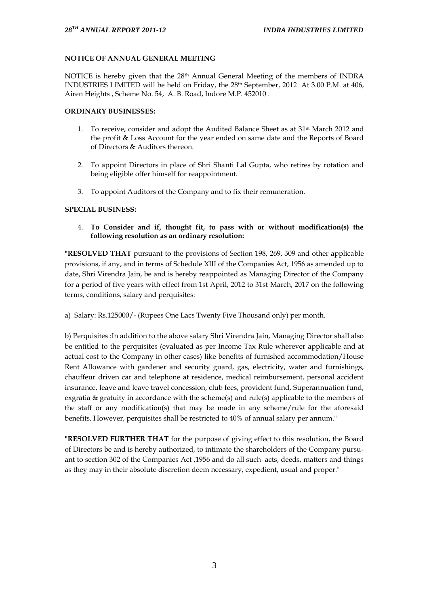## **NOTICE OF ANNUAL GENERAL MEETING**

NOTICE is hereby given that the 28<sup>th</sup> Annual General Meeting of the members of INDRA INDUSTRIES LIMITED will be held on Friday, the 28th September, 2012 At 3.00 P.M. at 406, Airen Heights , Scheme No. 54, A. B. Road, Indore M.P. 452010 .

## **ORDINARY BUSINESSES:**

- 1. To receive, consider and adopt the Audited Balance Sheet as at 31<sup>st</sup> March 2012 and the profit & Loss Account for the year ended on same date and the Reports of Board of Directors & Auditors thereon.
- 2. To appoint Directors in place of Shri Shanti Lal Gupta, who retires by rotation and being eligible offer himself for reappointment.
- 3. To appoint Auditors of the Company and to fix their remuneration.

## **SPECIAL BUSINESS:**

4. **To Consider and if, thought fit, to pass with or without modification(s) the following resolution as an ordinary resolution:**

**"RESOLVED THAT** pursuant to the provisions of Section 198, 269, 309 and other applicable provisions, if any, and in terms of Schedule XIII of the Companies Act, 1956 as amended up to date, Shri Virendra Jain, be and is hereby reappointed as Managing Director of the Company for a period of five years with effect from 1st April, 2012 to 31st March, 2017 on the following terms, conditions, salary and perquisites:

a) Salary: Rs.125000/- (Rupees One Lacs Twenty Five Thousand only) per month.

b) Perquisites :In addition to the above salary Shri Virendra Jain, Managing Director shall also be entitled to the perquisites (evaluated as per Income Tax Rule wherever applicable and at actual cost to the Company in other cases) like benefits of furnished accommodation/House Rent Allowance with gardener and security guard, gas, electricity, water and furnishings, chauffeur driven car and telephone at residence, medical reimbursement, personal accident insurance, leave and leave travel concession, club fees, provident fund, Superannuation fund, exgratia & gratuity in accordance with the scheme(s) and rule(s) applicable to the members of the staff or any modification(s) that may be made in any scheme/rule for the aforesaid benefits. However, perquisites shall be restricted to 40% of annual salary per annum."

**"RESOLVED FURTHER THAT** for the purpose of giving effect to this resolution, the Board of Directors be and is hereby authorized, to intimate the shareholders of the Company pursuant to section 302 of the Companies Act ,1956 and do all such acts, deeds, matters and things as they may in their absolute discretion deem necessary, expedient, usual and proper."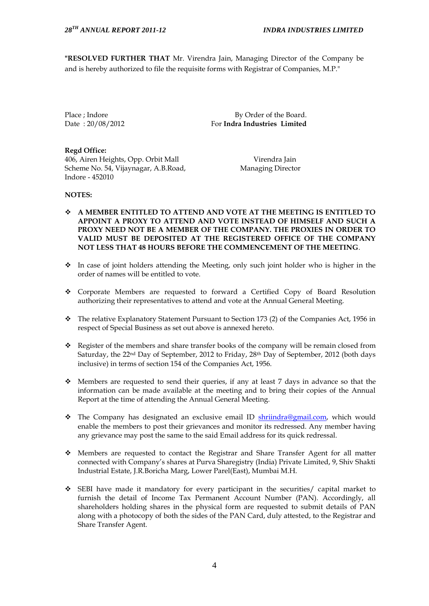**"RESOLVED FURTHER THAT** Mr. Virendra Jain, Managing Director of the Company be and is hereby authorized to file the requisite forms with Registrar of Companies, M.P."

Place : Indore By Order of the Board. Date : 20/08/2012 For **Indra Industries Limited**

**Regd Office:** 406, Airen Heights, Opp. Orbit Mall Virendra Jain Scheme No. 54, Vijaynagar, A.B.Road, Managing Director Indore - 452010

## **NOTES:**

- **A MEMBER ENTITLED TO ATTEND AND VOTE AT THE MEETING IS ENTITLED TO APPOINT A PROXY TO ATTEND AND VOTE INSTEAD OF HIMSELF AND SUCH A PROXY NEED NOT BE A MEMBER OF THE COMPANY. THE PROXIES IN ORDER TO VALID MUST BE DEPOSITED AT THE REGISTERED OFFICE OF THE COMPANY NOT LESS THAT 48 HOURS BEFORE THE COMMENCEMENT OF THE MEETING**.
- \* In case of joint holders attending the Meeting, only such joint holder who is higher in the order of names will be entitled to vote.
- Corporate Members are requested to forward a Certified Copy of Board Resolution authorizing their representatives to attend and vote at the Annual General Meeting.
- \* The relative Explanatory Statement Pursuant to Section 173 (2) of the Companies Act, 1956 in respect of Special Business as set out above is annexed hereto.
- Register of the members and share transfer books of the company will be remain closed from Saturday, the 22nd Day of September, 2012 to Friday, 28th Day of September, 2012 (both days inclusive) in terms of section 154 of the Companies Act, 1956.
- $\bullet$  Members are requested to send their queries, if any at least 7 days in advance so that the information can be made available at the meeting and to bring their copies of the Annual Report at the time of attending the Annual General Meeting.
- \* The Company has designated an exclusive email ID [shriindra@gmail.com,](mailto:shriindra@gmail.com) which would enable the members to post their grievances and monitor its redressed. Any member having any grievance may post the same to the said Email address for its quick redressal.
- Members are requested to contact the Registrar and Share Transfer Agent for all matter connected with Company"s shares at Purva Sharegistry (India) Private Limited, 9, Shiv Shakti Industrial Estate, J.R.Boricha Marg, Lower Parel(East), Mumbai M.H.
- SEBI have made it mandatory for every participant in the securities/ capital market to furnish the detail of Income Tax Permanent Account Number (PAN). Accordingly, all shareholders holding shares in the physical form are requested to submit details of PAN along with a photocopy of both the sides of the PAN Card, duly attested, to the Registrar and Share Transfer Agent.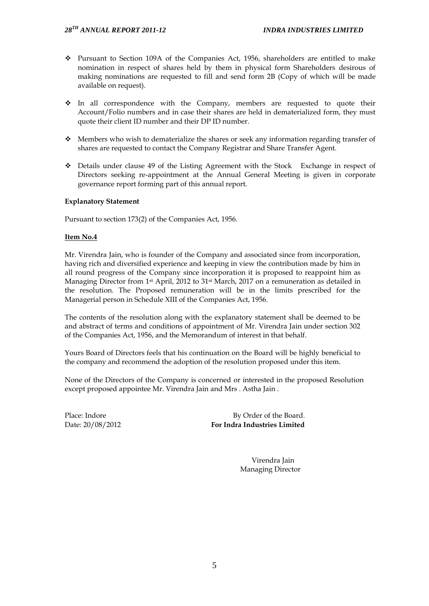- Pursuant to Section 109A of the Companies Act, 1956, shareholders are entitled to make nomination in respect of shares held by them in physical form Shareholders desirous of making nominations are requested to fill and send form 2B (Copy of which will be made available on request).
- In all correspondence with the Company, members are requested to quote their Account/Folio numbers and in case their shares are held in dematerialized form, they must quote their client ID number and their DP ID number.
- $\cdot$  Members who wish to dematerialize the shares or seek any information regarding transfer of shares are requested to contact the Company Registrar and Share Transfer Agent.
- Details under clause 49 of the Listing Agreement with the Stock Exchange in respect of Directors seeking re-appointment at the Annual General Meeting is given in corporate governance report forming part of this annual report.

## **Explanatory Statement**

Pursuant to section 173(2) of the Companies Act, 1956.

## **Item No.4**

Mr. Virendra Jain, who is founder of the Company and associated since from incorporation, having rich and diversified experience and keeping in view the contribution made by him in all round progress of the Company since incorporation it is proposed to reappoint him as Managing Director from 1st April, 2012 to 31st March, 2017 on a remuneration as detailed in the resolution. The Proposed remuneration will be in the limits prescribed for the Managerial person in Schedule XIII of the Companies Act, 1956.

The contents of the resolution along with the explanatory statement shall be deemed to be and abstract of terms and conditions of appointment of Mr. Virendra Jain under section 302 of the Companies Act, 1956, and the Memorandum of interest in that behalf.

Yours Board of Directors feels that his continuation on the Board will be highly beneficial to the company and recommend the adoption of the resolution proposed under this item.

None of the Directors of the Company is concerned or interested in the proposed Resolution except proposed appointee Mr. Virendra Jain and Mrs . Astha Jain .

Place: Indore By Order of the Board. Date: 20/08/2012 **For Indra Industries Limited**

> Virendra Jain Managing Director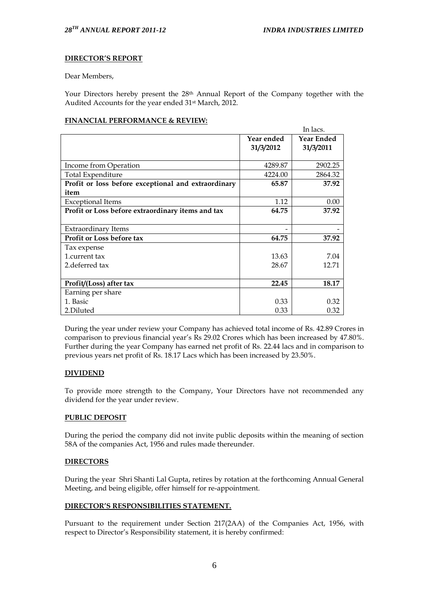## **DIRECTOR'S REPORT**

Dear Members,

Your Directors hereby present the  $28<sup>th</sup>$  Annual Report of the Company together with the Audited Accounts for the year ended 31st March, 2012.

## **FINANCIAL PERFORMANCE & REVIEW:**

|                                                     |            | In lacs.          |
|-----------------------------------------------------|------------|-------------------|
|                                                     | Year ended | <b>Year Ended</b> |
|                                                     | 31/3/2012  | 31/3/2011         |
|                                                     |            |                   |
| Income from Operation                               | 4289.87    | 2902.25           |
| Total Expenditure                                   | 4224.00    | 2864.32           |
| Profit or loss before exceptional and extraordinary | 65.87      | 37.92             |
| item                                                |            |                   |
| <b>Exceptional Items</b>                            | 1.12       | 0.00              |
| Profit or Loss before extraordinary items and tax   | 64.75      | 37.92             |
|                                                     |            |                   |
| <b>Extraordinary Items</b>                          |            |                   |
| Profit or Loss before tax                           | 64.75      | 37.92             |
| Tax expense                                         |            |                   |
| 1.current tax                                       | 13.63      | 7.04              |
| 2. deferred tax                                     | 28.67      | 12.71             |
|                                                     |            |                   |
| Profit/(Loss) after tax                             | 22.45      | 18.17             |
| Earning per share                                   |            |                   |
| 1. Basic                                            | 0.33       | 0.32              |
| 2.Diluted                                           | 0.33       | 0.32              |

During the year under review your Company has achieved total income of Rs. 42.89 Crores in comparison to previous financial year"s Rs 29.02 Crores which has been increased by 47.80%. Further during the year Company has earned net profit of Rs. 22.44 lacs and in comparison to previous years net profit of Rs. 18.17 Lacs which has been increased by 23.50%.

## **DIVIDEND**

To provide more strength to the Company, Your Directors have not recommended any dividend for the year under review.

#### **PUBLIC DEPOSIT**

During the period the company did not invite public deposits within the meaning of section 58A of the companies Act, 1956 and rules made thereunder.

#### **DIRECTORS**

During the year Shri Shanti Lal Gupta, retires by rotation at the forthcoming Annual General Meeting, and being eligible, offer himself for re-appointment.

#### **DIRECTOR'S RESPONSIBILITIES STATEMENT.**

Pursuant to the requirement under Section 217(2AA) of the Companies Act, 1956, with respect to Director's Responsibility statement, it is hereby confirmed: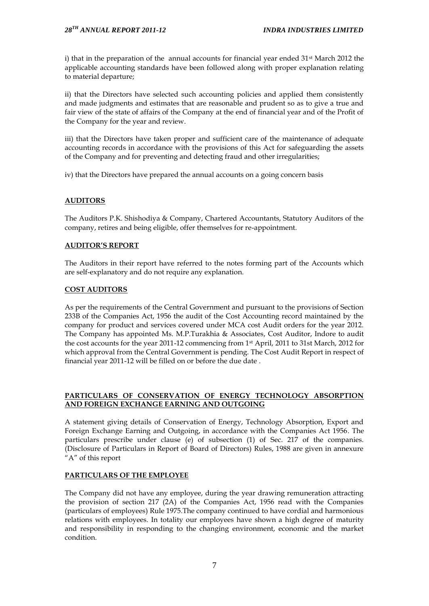i) that in the preparation of the annual accounts for financial year ended  $31$ <sup>st</sup> March 2012 the applicable accounting standards have been followed along with proper explanation relating to material departure;

ii) that the Directors have selected such accounting policies and applied them consistently and made judgments and estimates that are reasonable and prudent so as to give a true and fair view of the state of affairs of the Company at the end of financial year and of the Profit of the Company for the year and review.

iii) that the Directors have taken proper and sufficient care of the maintenance of adequate accounting records in accordance with the provisions of this Act for safeguarding the assets of the Company and for preventing and detecting fraud and other irregularities;

iv) that the Directors have prepared the annual accounts on a going concern basis

## **AUDITORS**

The Auditors P.K. Shishodiya & Company, Chartered Accountants, Statutory Auditors of the company, retires and being eligible, offer themselves for re-appointment.

## **AUDITOR'S REPORT**

The Auditors in their report have referred to the notes forming part of the Accounts which are self-explanatory and do not require any explanation.

## **COST AUDITORS**

As per the requirements of the Central Government and pursuant to the provisions of Section 233B of the Companies Act, 1956 the audit of the Cost Accounting record maintained by the company for product and services covered under MCA cost Audit orders for the year 2012. The Company has appointed Ms. M.P.Turakhia & Associates, Cost Auditor, Indore to audit the cost accounts for the year 2011-12 commencing from 1st April, 2011 to 31st March, 2012 for which approval from the Central Government is pending. The Cost Audit Report in respect of financial year 2011-12 will be filled on or before the due date .

## **PARTICULARS OF CONSERVATION OF ENERGY TECHNOLOGY ABSORPTION AND FOREIGN EXCHANGE EARNING AND OUTGOING**

A statement giving details of Conservation of Energy, Technology Absorption, Export and Foreign Exchange Earning and Outgoing, in accordance with the Companies Act 1956. The particulars prescribe under clause (e) of subsection (1) of Sec. 217 of the companies. (Disclosure of Particulars in Report of Board of Directors) Rules, 1988 are given in annexure "A" of this report

## **PARTICULARS OF THE EMPLOYEE**

The Company did not have any employee, during the year drawing remuneration attracting the provision of section 217 (2A) of the Companies Act, 1956 read with the Companies (particulars of employees) Rule 1975.The company continued to have cordial and harmonious relations with employees. In totality our employees have shown a high degree of maturity and responsibility in responding to the changing environment, economic and the market condition.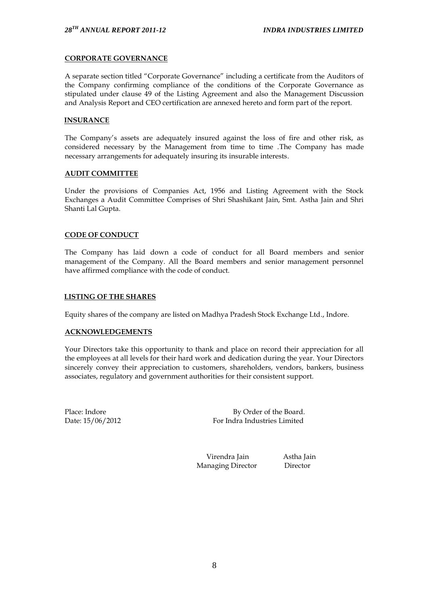## **CORPORATE GOVERNANCE**

A separate section titled "Corporate Governance" including a certificate from the Auditors of the Company confirming compliance of the conditions of the Corporate Governance as stipulated under clause 49 of the Listing Agreement and also the Management Discussion and Analysis Report and CEO certification are annexed hereto and form part of the report.

## **INSURANCE**

The Company's assets are adequately insured against the loss of fire and other risk, as considered necessary by the Management from time to time .The Company has made necessary arrangements for adequately insuring its insurable interests.

#### **AUDIT COMMITTEE**

Under the provisions of Companies Act, 1956 and Listing Agreement with the Stock Exchanges a Audit Committee Comprises of Shri Shashikant Jain, Smt. Astha Jain and Shri Shanti Lal Gupta.

## **CODE OF CONDUCT**

The Company has laid down a code of conduct for all Board members and senior management of the Company. All the Board members and senior management personnel have affirmed compliance with the code of conduct.

## **LISTING OF THE SHARES**

Equity shares of the company are listed on Madhya Pradesh Stock Exchange Ltd., Indore.

#### **ACKNOWLEDGEMENTS**

Your Directors take this opportunity to thank and place on record their appreciation for all the employees at all levels for their hard work and dedication during the year. Your Directors sincerely convey their appreciation to customers, shareholders, vendors, bankers, business associates, regulatory and government authorities for their consistent support.

Place: Indore By Order of the Board. Date: 15/06/2012 For Indra Industries Limited

> Virendra Jain Astha Jain Managing Director Director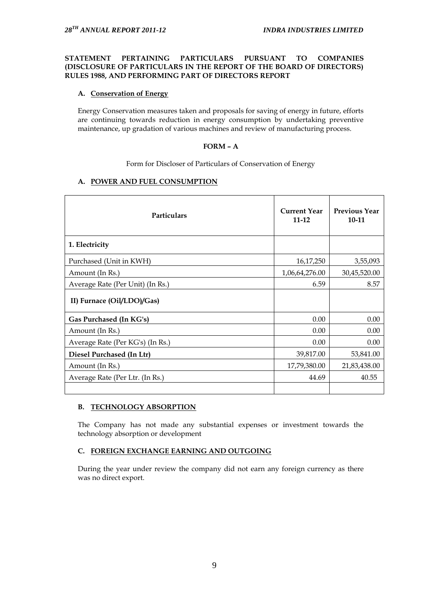## **STATEMENT PERTAINING PARTICULARS PURSUANT TO COMPANIES (DISCLOSURE OF PARTICULARS IN THE REPORT OF THE BOARD OF DIRECTORS) RULES 1988, AND PERFORMING PART OF DIRECTORS REPORT**

## **A. Conservation of Energy**

Energy Conservation measures taken and proposals for saving of energy in future, efforts are continuing towards reduction in energy consumption by undertaking preventive maintenance, up gradation of various machines and review of manufacturing process.

## **FORM – A**

Form for Discloser of Particulars of Conservation of Energy

## **A. POWER AND FUEL CONSUMPTION**

| Particulars                      | <b>Current Year</b><br>$11 - 12$ | <b>Previous Year</b><br>$10-11$ |
|----------------------------------|----------------------------------|---------------------------------|
| 1. Electricity                   |                                  |                                 |
| Purchased (Unit in KWH)          | 16,17,250                        | 3,55,093                        |
| Amount (In Rs.)                  | 1,06,64,276.00                   | 30,45,520.00                    |
| Average Rate (Per Unit) (In Rs.) | 6.59                             | 8.57                            |
| II) Furnace (Oil/LDO)/Gas)       |                                  |                                 |
| Gas Purchased (In KG's)          | 0.00                             | 0.00                            |
| Amount (In Rs.)                  | 0.00                             | 0.00                            |
| Average Rate (Per KG's) (In Rs.) | 0.00                             | 0.00                            |
| Diesel Purchased (In Ltr)        | 39,817.00                        | 53,841.00                       |
| Amount (In Rs.)                  | 17,79,380.00                     | 21,83,438.00                    |
| Average Rate (Per Ltr. (In Rs.)  | 44.69                            | 40.55                           |
|                                  |                                  |                                 |

## **B. TECHNOLOGY ABSORPTION**

The Company has not made any substantial expenses or investment towards the technology absorption or development

## **C. FOREIGN EXCHANGE EARNING AND OUTGOING**

During the year under review the company did not earn any foreign currency as there was no direct export.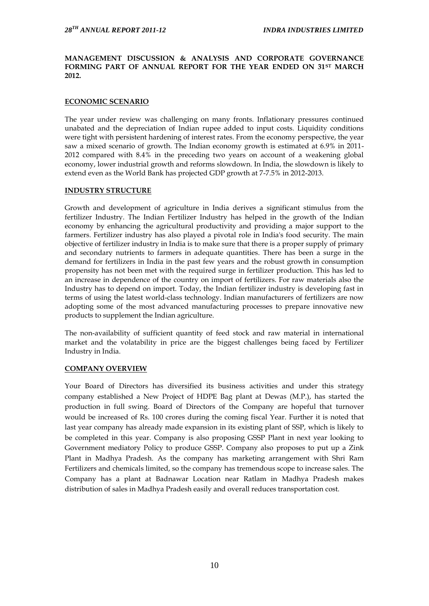## **MANAGEMENT DISCUSSION & ANALYSIS AND CORPORATE GOVERNANCE FORMING PART OF ANNUAL REPORT FOR THE YEAR ENDED ON 31ST MARCH 2012.**

## **ECONOMIC SCENARIO**

The year under review was challenging on many fronts. Inflationary pressures continued unabated and the depreciation of Indian rupee added to input costs. Liquidity conditions were tight with persistent hardening of interest rates. From the economy perspective, the year saw a mixed scenario of growth. The Indian economy growth is estimated at 6.9% in 2011- 2012 compared with 8.4% in the preceding two years on account of a weakening global economy, lower industrial growth and reforms slowdown. In India, the slowdown is likely to extend even as the World Bank has projected GDP growth at 7-7.5% in 2012-2013.

#### **INDUSTRY STRUCTURE**

Growth and development of agriculture in India derives a significant stimulus from the fertilizer Industry. The Indian Fertilizer Industry has helped in the growth of the Indian economy by enhancing the agricultural productivity and providing a major support to the farmers. Fertilizer industry has also played a pivotal role in India's food security. The main objective of fertilizer industry in India is to make sure that there is a proper supply of primary and secondary nutrients to farmers in adequate quantities. There has been a surge in the demand for fertilizers in India in the past few years and the robust growth in consumption propensity has not been met with the required surge in fertilizer production. This has led to an increase in dependence of the country on import of fertilizers. For raw materials also the Industry has to depend on import. Today, the Indian fertilizer industry is developing fast in terms of using the latest world-class technology. Indian manufacturers of fertilizers are now adopting some of the most advanced manufacturing processes to prepare innovative new products to supplement the Indian agriculture.

The non-availability of sufficient quantity of feed stock and raw material in international market and the volatability in price are the biggest challenges being faced by Fertilizer Industry in India.

#### **COMPANY OVERVIEW**

Your Board of Directors has diversified its business activities and under this strategy company established a New Project of HDPE Bag plant at Dewas (M.P.), has started the production in full swing. Board of Directors of the Company are hopeful that turnover would be increased of Rs. 100 crores during the coming fiscal Year. Further it is noted that last year company has already made expansion in its existing plant of SSP, which is likely to be completed in this year. Company is also proposing GSSP Plant in next year looking to Government mediatory Policy to produce GSSP. Company also proposes to put up a Zink Plant in Madhya Pradesh. As the company has marketing arrangement with Shri Ram Fertilizers and chemicals limited, so the company has tremendous scope to increase sales. The Company has a plant at Badnawar Location near Ratlam in Madhya Pradesh makes distribution of sales in Madhya Pradesh easily and overall reduces transportation cost.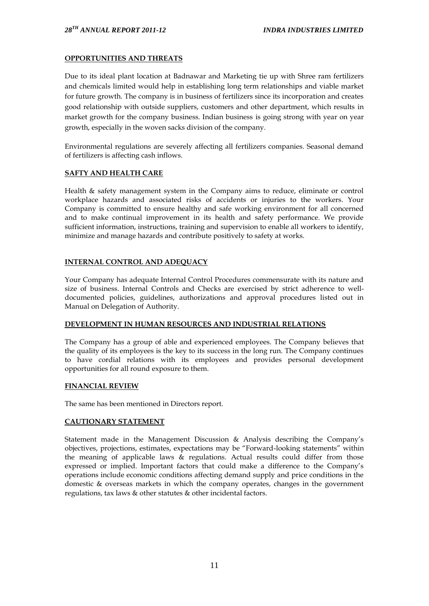## **OPPORTUNITIES AND THREATS**

Due to its ideal plant location at Badnawar and Marketing tie up with Shree ram fertilizers and chemicals limited would help in establishing long term relationships and viable market for future growth. The company is in business of fertilizers since its incorporation and creates good relationship with outside suppliers, customers and other department, which results in market growth for the company business. Indian business is going strong with year on year growth, especially in the woven sacks division of the company.

Environmental regulations are severely affecting all fertilizers companies. Seasonal demand of fertilizers is affecting cash inflows.

#### **SAFTY AND HEALTH CARE**

Health & safety management system in the Company aims to reduce, eliminate or control workplace hazards and associated risks of accidents or injuries to the workers. Your Company is committed to ensure healthy and safe working environment for all concerned and to make continual improvement in its health and safety performance. We provide sufficient information, instructions, training and supervision to enable all workers to identify, minimize and manage hazards and contribute positively to safety at works.

## **INTERNAL CONTROL AND ADEQUACY**

Your Company has adequate Internal Control Procedures commensurate with its nature and size of business. Internal Controls and Checks are exercised by strict adherence to welldocumented policies, guidelines, authorizations and approval procedures listed out in Manual on Delegation of Authority.

#### **DEVELOPMENT IN HUMAN RESOURCES AND INDUSTRIAL RELATIONS**

The Company has a group of able and experienced employees. The Company believes that the quality of its employees is the key to its success in the long run. The Company continues to have cordial relations with its employees and provides personal development opportunities for all round exposure to them.

#### **FINANCIAL REVIEW**

The same has been mentioned in Directors report.

## **CAUTIONARY STATEMENT**

Statement made in the Management Discussion & Analysis describing the Company"s objectives, projections, estimates, expectations may be "Forward-looking statements" within the meaning of applicable laws & regulations. Actual results could differ from those expressed or implied. Important factors that could make a difference to the Company"s operations include economic conditions affecting demand supply and price conditions in the domestic & overseas markets in which the company operates, changes in the government regulations, tax laws & other statutes & other incidental factors.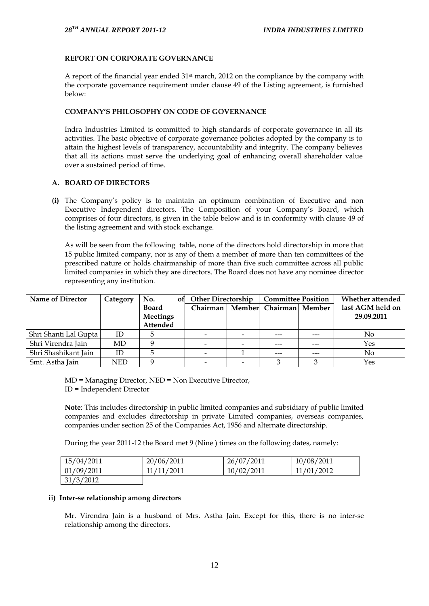## **REPORT ON CORPORATE GOVERNANCE**

A report of the financial year ended  $31<sup>st</sup>$  march, 2012 on the compliance by the company with the corporate governance requirement under clause 49 of the Listing agreement, is furnished below:

## **COMPANY'S PHILOSOPHY ON CODE OF GOVERNANCE**

Indra Industries Limited is committed to high standards of corporate governance in all its activities. The basic objective of corporate governance policies adopted by the company is to attain the highest levels of transparency, accountability and integrity. The company believes that all its actions must serve the underlying goal of enhancing overall shareholder value over a sustained period of time.

## **A. BOARD OF DIRECTORS**

**(i)** The Company"s policy is to maintain an optimum combination of Executive and non Executive Independent directors. The Composition of your Company"s Board, which comprises of four directors, is given in the table below and is in conformity with clause 49 of the listing agreement and with stock exchange.

As will be seen from the following table, none of the directors hold directorship in more that 15 public limited company, nor is any of them a member of more than ten committees of the prescribed nature or holds chairmanship of more than five such committee across all public limited companies in which they are directors. The Board does not have any nominee director representing any institution.

| <b>Name of Director</b> | Category   | No.<br><b>of</b> | <b>Other Directorship</b> |  | <b>Committee Position</b> |  | Whether attended |
|-------------------------|------------|------------------|---------------------------|--|---------------------------|--|------------------|
|                         |            | <b>Board</b>     | Chairman                  |  | Member Chairman Member    |  | last AGM held on |
|                         |            | Meetings         |                           |  |                           |  | 29.09.2011       |
|                         |            | Attended         |                           |  |                           |  |                  |
| Shri Shanti Lal Gupta   | ID         |                  |                           |  | ---                       |  | No               |
| Shri Virendra Jain      | MD         |                  |                           |  |                           |  | Yes              |
| Shri Shashikant Jain    | ID         |                  |                           |  |                           |  | No               |
| Smt. Astha Jain         | <b>NED</b> |                  |                           |  |                           |  | Yes              |

MD = Managing Director, NED = Non Executive Director, ID = Independent Director

**Note**: This includes directorship in public limited companies and subsidiary of public limited companies and excludes directorship in private Limited companies, overseas companies, companies under section 25 of the Companies Act, 1956 and alternate directorship.

During the year 2011-12 the Board met 9 (Nine ) times on the following dates, namely:

| 15/04/2011 | 20/06/2011 | 26/07/2011 | 10/08/2011 |
|------------|------------|------------|------------|
| 01/09/2011 | 11/11/2011 | 10/02/2011 | 11/01/2012 |
| 31/3/2012  |            |            |            |

#### **ii) Inter-se relationship among directors**

Mr. Virendra Jain is a husband of Mrs. Astha Jain. Except for this, there is no inter-se relationship among the directors.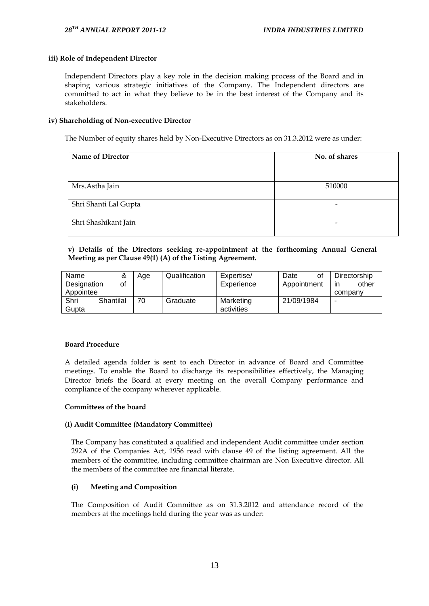## **iii) Role of Independent Director**

Independent Directors play a key role in the decision making process of the Board and in shaping various strategic initiatives of the Company. The Independent directors are committed to act in what they believe to be in the best interest of the Company and its stakeholders.

## **iv) Shareholding of Non-executive Director**

The Number of equity shares held by Non-Executive Directors as on 31.3.2012 were as under:

| <b>Name of Director</b> | No. of shares   |
|-------------------------|-----------------|
|                         |                 |
| Mrs.Astha Jain          | 510000          |
| Shri Shanti Lal Gupta   | $\qquad \qquad$ |
| Shri Shashikant Jain    | -               |

## **v) Details of the Directors seeking re-appointment at the forthcoming Annual General Meeting as per Clause 49(1) (A) of the Listing Agreement.**

| Name        | &         | Age | Qualification | Expertise/ | Date<br>οf  | Directorship |
|-------------|-----------|-----|---------------|------------|-------------|--------------|
| Designation | οf        |     |               | Experience | Appointment | other<br>ın  |
| Appointee   |           |     |               |            |             | company      |
| Shri        | Shantilal | 70  | Graduate      | Marketing  | 21/09/1984  | -            |
| Gupta       |           |     |               | activities |             |              |

## **Board Procedure**

A detailed agenda folder is sent to each Director in advance of Board and Committee meetings. To enable the Board to discharge its responsibilities effectively, the Managing Director briefs the Board at every meeting on the overall Company performance and compliance of the company wherever applicable.

#### **Committees of the board**

## **(I) Audit Committee (Mandatory Committee)**

The Company has constituted a qualified and independent Audit committee under section 292A of the Companies Act, 1956 read with clause 49 of the listing agreement. All the members of the committee, including committee chairman are Non Executive director. All the members of the committee are financial literate.

## **(i) Meeting and Composition**

The Composition of Audit Committee as on 31.3.2012 and attendance record of the members at the meetings held during the year was as under: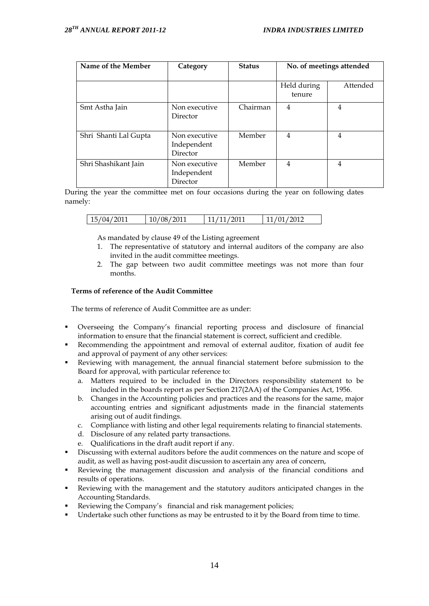| Name of the Member    | Category                                 | <b>Status</b> | No. of meetings attended |          |
|-----------------------|------------------------------------------|---------------|--------------------------|----------|
|                       |                                          |               | Held during<br>tenure    | Attended |
| Smt Astha Jain        | Non executive<br>Director                | Chairman      | 4                        | 4        |
| Shri Shanti Lal Gupta | Non executive<br>Independent<br>Director | Member        | 4                        | 4        |
| Shri Shashikant Jain  | Non executive<br>Independent<br>Director | Member        | 4                        | 4        |

During the year the committee met on four occasions during the year on following dates namely:

| 15/04/2011 | 10/08/2011 | 11/11/2011 | 11/01/2012 |
|------------|------------|------------|------------|
|            |            |            |            |

As mandated by clause 49 of the Listing agreement

- 1. The representative of statutory and internal auditors of the company are also invited in the audit committee meetings.
- 2. The gap between two audit committee meetings was not more than four months.

## **Terms of reference of the Audit Committee**

The terms of reference of Audit Committee are as under:

- Overseeing the Company"s financial reporting process and disclosure of financial information to ensure that the financial statement is correct, sufficient and credible.
- Recommending the appointment and removal of external auditor, fixation of audit fee and approval of payment of any other services:
- Reviewing with management, the annual financial statement before submission to the Board for approval, with particular reference to:
	- a. Matters required to be included in the Directors responsibility statement to be included in the boards report as per Section 217(2AA) of the Companies Act, 1956.
	- b. Changes in the Accounting policies and practices and the reasons for the same, major accounting entries and significant adjustments made in the financial statements arising out of audit findings.
	- c. Compliance with listing and other legal requirements relating to financial statements.
	- d. Disclosure of any related party transactions.
	- e. Qualifications in the draft audit report if any.
- Discussing with external auditors before the audit commences on the nature and scope of audit, as well as having post-audit discussion to ascertain any area of concern,
- Reviewing the management discussion and analysis of the financial conditions and results of operations.
- Reviewing with the management and the statutory auditors anticipated changes in the Accounting Standards.
- Reviewing the Company's financial and risk management policies;
- Undertake such other functions as may be entrusted to it by the Board from time to time.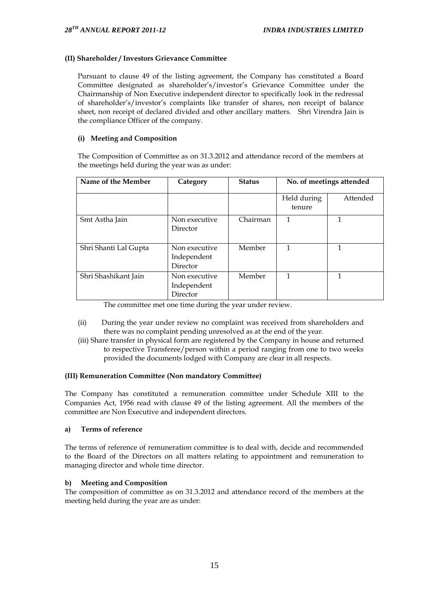## **(II) Shareholder / Investors Grievance Committee**

Pursuant to clause 49 of the listing agreement, the Company has constituted a Board Committee designated as shareholder"s/investor"s Grievance Committee under the Chairmanship of Non Executive independent director to specifically look in the redressal of shareholder"s/investor"s complaints like transfer of shares, non receipt of balance sheet, non receipt of declared divided and other ancillary matters. Shri Virendra Jain is the compliance Officer of the company.

## **(i) Meeting and Composition**

The Composition of Committee as on 31.3.2012 and attendance record of the members at the meetings held during the year was as under:

| Name of the Member    | Category                                 | <b>Status</b> | No. of meetings attended |          |
|-----------------------|------------------------------------------|---------------|--------------------------|----------|
|                       |                                          |               | Held during<br>tenure    | Attended |
| Smt Astha Jain        | Non executive<br>Director                | Chairman      | 1                        | 1        |
| Shri Shanti Lal Gupta | Non executive<br>Independent<br>Director | Member        | 1                        | 1        |
| Shri Shashikant Jain  | Non executive<br>Independent<br>Director | Member        | 1                        | 1        |

The committee met one time during the year under review.

- (ii) During the year under review no complaint was received from shareholders and there was no complaint pending unresolved as at the end of the year.
- (iii) Share transfer in physical form are registered by the Company in house and returned to respective Transferee/person within a period ranging from one to two weeks provided the documents lodged with Company are clear in all respects.

## **(III) Remuneration Committee (Non mandatory Committee)**

The Company has constituted a remuneration committee under Schedule XIII to the Companies Act, 1956 read with clause 49 of the listing agreement. All the members of the committee are Non Executive and independent directors.

## **a) Terms of reference**

The terms of reference of remuneration committee is to deal with, decide and recommended to the Board of the Directors on all matters relating to appointment and remuneration to managing director and whole time director.

## **b) Meeting and Composition**

The composition of committee as on 31.3.2012 and attendance record of the members at the meeting held during the year are as under: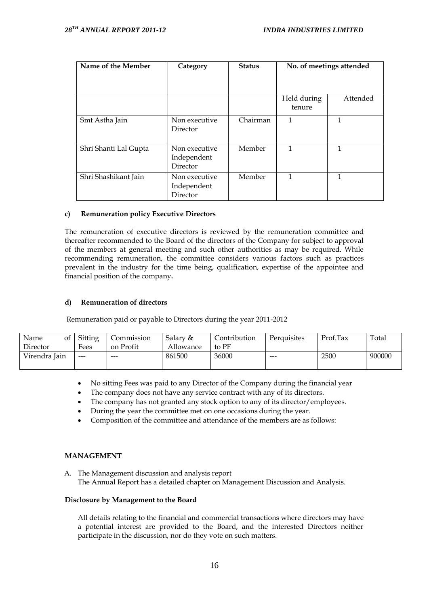| Name of the Member    | Category                                 | <b>Status</b> | No. of meetings attended |          |
|-----------------------|------------------------------------------|---------------|--------------------------|----------|
|                       |                                          |               | Held during<br>tenure    | Attended |
| Smt Astha Jain        | Non executive<br>Director                | Chairman      | 1                        | 1        |
| Shri Shanti Lal Gupta | Non executive<br>Independent<br>Director | Member        | 1                        | 1        |
| Shri Shashikant Jain  | Non executive<br>Independent<br>Director | Member        | 1                        | 1        |

## **c) Remuneration policy Executive Directors**

The remuneration of executive directors is reviewed by the remuneration committee and thereafter recommended to the Board of the directors of the Company for subject to approval of the members at general meeting and such other authorities as may be required. While recommending remuneration, the committee considers various factors such as practices prevalent in the industry for the time being, qualification, expertise of the appointee and financial position of the company**.** 

## **d) Remuneration of directors**

Remuneration paid or payable to Directors during the year 2011-2012

| Name<br>of 1  | Sitting                                | Commission | Salary &  | Contribution | Perquisites | Prof.Tax | Total  |
|---------------|----------------------------------------|------------|-----------|--------------|-------------|----------|--------|
| Director      | Fees                                   | on Profit  | Allowance | to PF        |             |          |        |
| Virendra Jain | $\hspace{0.1em} \ldots \hspace{0.1em}$ | $- - -$    | 861500    | 36000        | $- - -$     | 2500     | 900000 |
|               |                                        |            |           |              |             |          |        |

- No sitting Fees was paid to any Director of the Company during the financial year
- The company does not have any service contract with any of its directors.
- The company has not granted any stock option to any of its director/employees.
- During the year the committee met on one occasions during the year.
- Composition of the committee and attendance of the members are as follows:

## **MANAGEMENT**

A. The Management discussion and analysis report The Annual Report has a detailed chapter on Management Discussion and Analysis.

#### **Disclosure by Management to the Board**

All details relating to the financial and commercial transactions where directors may have a potential interest are provided to the Board, and the interested Directors neither participate in the discussion, nor do they vote on such matters.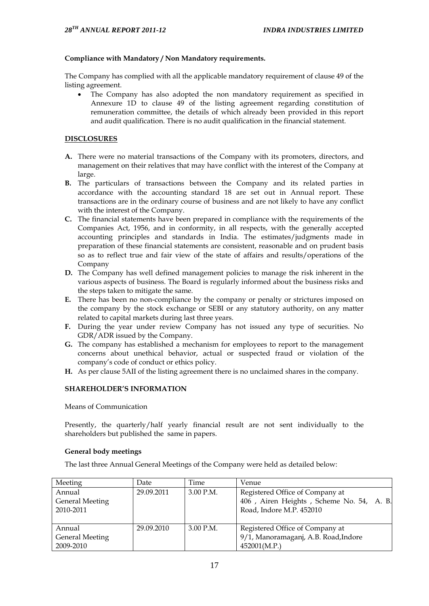## **Compliance with Mandatory / Non Mandatory requirements.**

The Company has complied with all the applicable mandatory requirement of clause 49 of the listing agreement.

 The Company has also adopted the non mandatory requirement as specified in Annexure 1D to clause 49 of the listing agreement regarding constitution of remuneration committee, the details of which already been provided in this report and audit qualification. There is no audit qualification in the financial statement.

## **DISCLOSURES**

- **A.** There were no material transactions of the Company with its promoters, directors, and management on their relatives that may have conflict with the interest of the Company at large.
- **B.** The particulars of transactions between the Company and its related parties in accordance with the accounting standard 18 are set out in Annual report. These transactions are in the ordinary course of business and are not likely to have any conflict with the interest of the Company.
- **C.** The financial statements have been prepared in compliance with the requirements of the Companies Act, 1956, and in conformity, in all respects, with the generally accepted accounting principles and standards in India. The estimates/judgments made in preparation of these financial statements are consistent, reasonable and on prudent basis so as to reflect true and fair view of the state of affairs and results/operations of the Company
- **D.** The Company has well defined management policies to manage the risk inherent in the various aspects of business. The Board is regularly informed about the business risks and the steps taken to mitigate the same.
- **E.** There has been no non-compliance by the company or penalty or strictures imposed on the company by the stock exchange or SEBI or any statutory authority, on any matter related to capital markets during last three years.
- **F.** During the year under review Company has not issued any type of securities. No GDR/ADR issued by the Company.
- **G.** The company has established a mechanism for employees to report to the management concerns about unethical behavior, actual or suspected fraud or violation of the company"s code of conduct or ethics policy.
- **H.** As per clause 5AII of the listing agreement there is no unclaimed shares in the company.

## **SHAREHOLDER'S INFORMATION**

Means of Communication

Presently, the quarterly/half yearly financial result are not sent individually to the shareholders but published the same in papers.

## **General body meetings**

The last three Annual General Meetings of the Company were held as detailed below:

| Meeting                                | Date       | Time        | Venue                                                                                                   |
|----------------------------------------|------------|-------------|---------------------------------------------------------------------------------------------------------|
| Annual<br>General Meeting<br>2010-2011 | 29.09.2011 | $3.00$ P.M. | Registered Office of Company at<br>406, Airen Heights, Scheme No. 54, A. B.<br>Road, Indore M.P. 452010 |
| Annual<br>General Meeting<br>2009-2010 | 29.09.2010 | $3.00$ P.M. | Registered Office of Company at<br>9/1, Manoramaganj, A.B. Road, Indore<br>452001(M.P.)                 |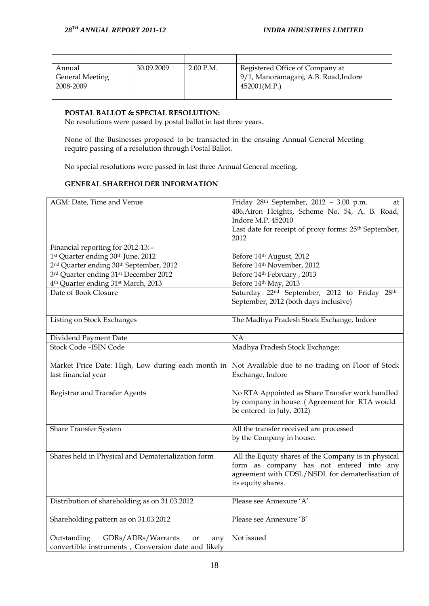| Annual<br>General Meeting<br>2008-2009 | 30.09.2009 | $2.00$ P.M. | Registered Office of Company at<br>9/1, Manoramaganj, A.B. Road, Indore<br>452001(M.P.) |
|----------------------------------------|------------|-------------|-----------------------------------------------------------------------------------------|

## **POSTAL BALLOT & SPECIAL RESOLUTION:**

No resolutions were passed by postal ballot in last three years.

None of the Businesses proposed to be transacted in the ensuing Annual General Meeting require passing of a resolution through Postal Ballot.

No special resolutions were passed in last three Annual General meeting.

## **GENERAL SHAREHOLDER INFORMATION**

| AGM: Date, Time and Venue                                       | Friday 28th September, 2012 - 3.00 p.m.<br>at                        |
|-----------------------------------------------------------------|----------------------------------------------------------------------|
|                                                                 | 406, Airen Heights, Scheme No. 54, A. B. Road,                       |
|                                                                 | Indore M.P. 452010                                                   |
|                                                                 | Last date for receipt of proxy forms: 25 <sup>th</sup> September,    |
|                                                                 | 2012                                                                 |
| Financial reporting for 2012-13:--                              |                                                                      |
| 1st Quarter ending 30th June, 2012                              | Before 14th August, 2012                                             |
| 2 <sup>nd</sup> Quarter ending 30 <sup>th</sup> September, 2012 | Before 14th November, 2012                                           |
| 3rd Quarter ending 31st December 2012                           | Before 14th February, 2013                                           |
| 4 <sup>th</sup> Quarter ending 31 <sup>st</sup> March, 2013     | Before 14th May, 2013                                                |
| Date of Book Closure                                            | Saturday 22 <sup>nd</sup> September, 2012 to Friday 28 <sup>th</sup> |
|                                                                 | September, 2012 (both days inclusive)                                |
|                                                                 |                                                                      |
| Listing on Stock Exchanges                                      | The Madhya Pradesh Stock Exchange, Indore                            |
|                                                                 |                                                                      |
| Dividend Payment Date                                           | NA                                                                   |
| Stock Code - ISIN Code                                          | Madhya Pradesh Stock Exchange:                                       |
|                                                                 |                                                                      |
| Market Price Date: High, Low during each month in               | Not Available due to no trading on Floor of Stock                    |
| last financial year                                             | Exchange, Indore                                                     |
|                                                                 |                                                                      |
| Registrar and Transfer Agents                                   | No RTA Appointed as Share Transfer work handled                      |
|                                                                 | by company in house. (Agreement for RTA would                        |
|                                                                 | be entered in July, 2012)                                            |
|                                                                 |                                                                      |
| <b>Share Transfer System</b>                                    | All the transfer received are processed                              |
|                                                                 | by the Company in house.                                             |
|                                                                 |                                                                      |
| Shares held in Physical and Dematerialization form              | All the Equity shares of the Company is in physical                  |
|                                                                 | form as company has not entered into any                             |
|                                                                 | agreement with CDSL/NSDL for dematerlisation of                      |
|                                                                 | its equity shares.                                                   |
|                                                                 | Please see Annexure 'A'                                              |
| Distribution of shareholding as on 31.03.2012                   |                                                                      |
| Shareholding pattern as on 31.03.2012                           | Please see Annexure 'B'                                              |
|                                                                 |                                                                      |
| GDRs/ADRs/Warrants<br>Outstanding<br>or<br>any                  | Not issued                                                           |
| convertible instruments, Conversion date and likely             |                                                                      |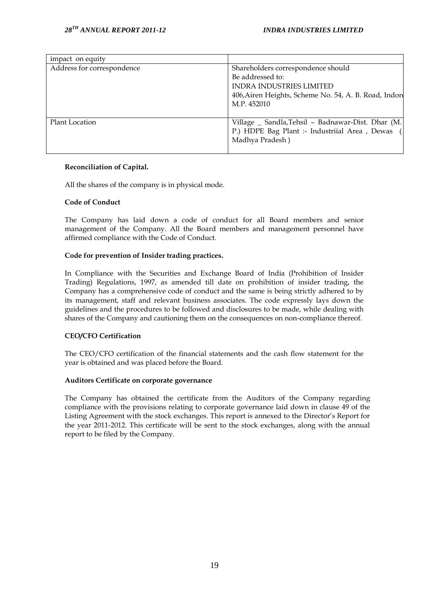| impact on equity           |                                                                                                                                                                   |
|----------------------------|-------------------------------------------------------------------------------------------------------------------------------------------------------------------|
| Address for correspondence | Shareholders correspondence should<br>Be addressed to:<br><b>INDRA INDUSTRIES LIMITED</b><br>406, Airen Heights, Scheme No. 54, A. B. Road, Indore<br>M.P. 452010 |
| Plant Location             | Village _ Sandla, Tehsil - Badnawar-Dist. Dhar (M.<br>P.) HDPE Bag Plant :- Industriial Area, Dewas<br>Madhya Pradesh)                                            |

## **Reconciliation of Capital.**

All the shares of the company is in physical mode.

## **Code of Conduct**

The Company has laid down a code of conduct for all Board members and senior management of the Company. All the Board members and management personnel have affirmed compliance with the Code of Conduct.

## **Code for prevention of Insider trading practices.**

In Compliance with the Securities and Exchange Board of India (Prohibition of Insider Trading) Regulations, 1997, as amended till date on prohibition of insider trading, the Company has a comprehensive code of conduct and the same is being strictly adhered to by its management, staff and relevant business associates. The code expressly lays down the guidelines and the procedures to be followed and disclosures to be made, while dealing with shares of the Company and cautioning them on the consequences on non-compliance thereof.

## **CEO/CFO Certification**

The CEO/CFO certification of the financial statements and the cash flow statement for the year is obtained and was placed before the Board.

#### **Auditors Certificate on corporate governance**

The Company has obtained the certificate from the Auditors of the Company regarding compliance with the provisions relating to corporate governance laid down in clause 49 of the Listing Agreement with the stock exchanges. This report is annexed to the Director"s Report for the year 2011-2012. This certificate will be sent to the stock exchanges, along with the annual report to be filed by the Company.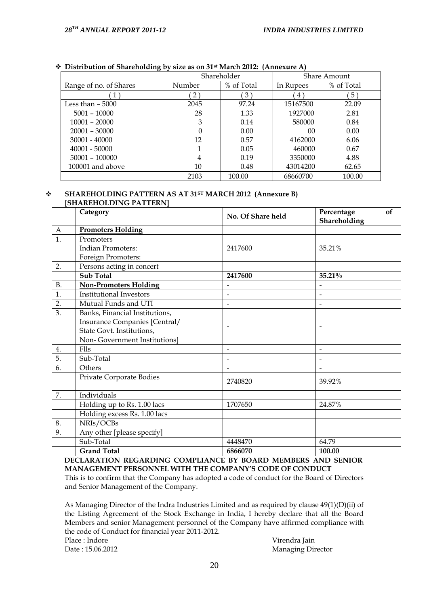|                        | Shareholder |            | Share Amount |             |
|------------------------|-------------|------------|--------------|-------------|
| Range of no. of Shares | Number      | % of Total | In Rupees    | % of Total  |
|                        | 2)          | 3)         | $4^{\circ}$  | $5^{\circ}$ |
| Less than $-5000$      | 2045        | 97.24      | 15167500     | 22.09       |
| $5001 - 10000$         | 28          | 1.33       | 1927000      | 2.81        |
| $10001 - 20000$        | 3           | 0.14       | 580000       | 0.84        |
| $20001 - 30000$        | 0           | 0.00       | 00           | 0.00        |
| $30001 - 40000$        | 12          | 0.57       | 4162000      | 6.06        |
| 40001 - 50000          | 1           | 0.05       | 460000       | 0.67        |
| $50001 - 100000$       | 4           | 0.19       | 3350000      | 4.88        |
| 100001 and above       | 10          | 0.48       | 43014200     | 62.65       |
|                        | 2103        | 100.00     | 68660700     | 100.00      |

## **Distribution of Shareholding by size as on 31st March 2012: (Annexure A)**

#### **SHAREHOLDING PATTERN AS AT 31ST MARCH 2012 (Annexure B) [SHAREHOLDING PATTERN]**

|                  | Category                       | No. Of Share held        | Percentage<br>of<br>Shareholding |
|------------------|--------------------------------|--------------------------|----------------------------------|
| $\mathbf{A}$     | <b>Promoters Holding</b>       |                          |                                  |
| $\overline{1}$ . | Promoters                      |                          |                                  |
|                  | <b>Indian Promoters:</b>       | 2417600                  | 35.21%                           |
|                  | Foreign Promoters:             |                          |                                  |
| 2.               | Persons acting in concert      |                          |                                  |
|                  | <b>Sub Total</b>               | 2417600                  | 35.21%                           |
| <b>B.</b>        | <b>Non-Promoters Holding</b>   |                          |                                  |
| 1.               | <b>Institutional Investors</b> | $\overline{\phantom{a}}$ |                                  |
| 2.               | Mutual Funds and UTI           | $\overline{\phantom{a}}$ | $\overline{a}$                   |
| $\overline{3}$ . | Banks, Financial Institutions, |                          |                                  |
|                  | Insurance Companies [Central/  |                          |                                  |
|                  | State Govt. Institutions,      |                          |                                  |
|                  | Non-Government Institutions]   |                          |                                  |
| 4.               | Flls                           | $\overline{\phantom{a}}$ | $\overline{a}$                   |
| 5.               | Sub-Total                      |                          |                                  |
| 6.               | Others                         |                          |                                  |
|                  | Private Corporate Bodies       | 2740820                  | 39.92%                           |
| 7.               | Individuals                    |                          |                                  |
|                  | Holding up to Rs. 1.00 lacs    | 1707650                  | 24.87%                           |
|                  | Holding excess Rs. 1.00 lacs   |                          |                                  |
| 8.               | NRIs/OCBs                      |                          |                                  |
| 9.               | Any other [please specify]     |                          |                                  |
|                  | Sub-Total                      | 4448470                  | 64.79                            |
|                  | <b>Grand Total</b>             | 6866070                  | 100.00                           |

**DECLARATION REGARDING COMPLIANCE BY BOARD MEMBERS AND SENIOR MANAGEMENT PERSONNEL WITH THE COMPANY'S CODE OF CONDUCT** 

This is to confirm that the Company has adopted a code of conduct for the Board of Directors and Senior Management of the Company.

As Managing Director of the Indra Industries Limited and as required by clause 49(1)(D)(ii) of the Listing Agreement of the Stock Exchange in India, I hereby declare that all the Board Members and senior Management personnel of the Company have affirmed compliance with the code of Conduct for financial year 2011-2012. Place : Indore Virendra Jain

Date : 15.06.2012 Managing Director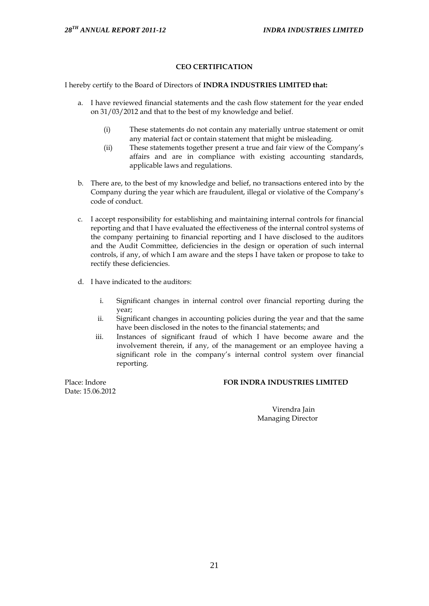## **CEO CERTIFICATION**

I hereby certify to the Board of Directors of **INDRA INDUSTRIES LIMITED that:**

- a. I have reviewed financial statements and the cash flow statement for the year ended on 31/03/2012 and that to the best of my knowledge and belief.
	- (i) These statements do not contain any materially untrue statement or omit any material fact or contain statement that might be misleading.
	- (ii) These statements together present a true and fair view of the Company"s affairs and are in compliance with existing accounting standards, applicable laws and regulations.
- b. There are, to the best of my knowledge and belief, no transactions entered into by the Company during the year which are fraudulent, illegal or violative of the Company"s code of conduct.
- c. I accept responsibility for establishing and maintaining internal controls for financial reporting and that I have evaluated the effectiveness of the internal control systems of the company pertaining to financial reporting and I have disclosed to the auditors and the Audit Committee, deficiencies in the design or operation of such internal controls, if any, of which I am aware and the steps I have taken or propose to take to rectify these deficiencies.
- d. I have indicated to the auditors:
	- i. Significant changes in internal control over financial reporting during the year;
	- ii. Significant changes in accounting policies during the year and that the same have been disclosed in the notes to the financial statements; and
	- iii. Instances of significant fraud of which I have become aware and the involvement therein, if any, of the management or an employee having a significant role in the company"s internal control system over financial reporting.

Date: 15.06.2012

## Place: Indore **FOR INDRA INDUSTRIES LIMITED**

 Virendra Jain Managing Director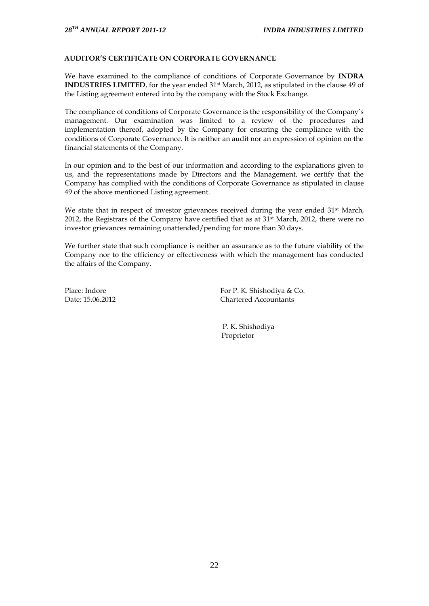## **AUDITOR'S CERTIFICATE ON CORPORATE GOVERNANCE**

We have examined to the compliance of conditions of Corporate Governance by **INDRA INDUSTRIES LIMITED**, for the year ended 31<sup>st</sup> March, 2012, as stipulated in the clause 49 of the Listing agreement entered into by the company with the Stock Exchange.

The compliance of conditions of Corporate Governance is the responsibility of the Company"s management. Our examination was limited to a review of the procedures and implementation thereof, adopted by the Company for ensuring the compliance with the conditions of Corporate Governance. It is neither an audit nor an expression of opinion on the financial statements of the Company.

In our opinion and to the best of our information and according to the explanations given to us, and the representations made by Directors and the Management, we certify that the Company has complied with the conditions of Corporate Governance as stipulated in clause 49 of the above mentioned Listing agreement.

We state that in respect of investor grievances received during the year ended 31<sup>st</sup> March, 2012, the Registrars of the Company have certified that as at  $31<sup>st</sup>$  March, 2012, there were no investor grievances remaining unattended/pending for more than 30 days.

We further state that such compliance is neither an assurance as to the future viability of the Company nor to the efficiency or effectiveness with which the management has conducted the affairs of the Company.

Place: Indore For P. K. Shishodiya & Co. Date: 15.06.2012 Chartered Accountants

> P. K. Shishodiya Proprietor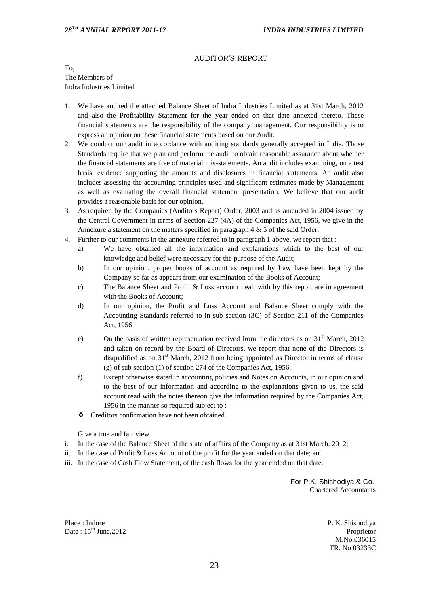#### AUDITOR'S REPORT

To, The Members of Indra Industries Limited

- 1. We have audited the attached Balance Sheet of Indra Industries Limited as at 31st March, 2012 and also the Profitability Statement for the year ended on that date annexed thereto. These financial statements are the responsibility of the company management. Our responsibility is to express an opinion on these financial statements based on our Audit.
- 2. We conduct our audit in accordance with auditing standards generally accepted in India. Those Standards require that we plan and perform the audit to obtain reasonable assurance about whether the financial statements are free of material mis-statements. An audit includes examining, on a test basis, evidence supporting the amounts and disclosures in financial statements. An audit also includes assessing the accounting principles used and significant estimates made by Management as well as evaluating the overall financial statement presentation. We believe that our audit provides a reasonable basis for our opinion.
- 3. As required by the Companies (Auditors Report) Order, 2003 and as amended in 2004 issued by the Central Government in terms of Section 227 (4A) of the Companies Act, 1956, we give in the Annexure a statement on the matters specified in paragraph 4 & 5 of the said Order.
- 4. Further to our comments in the annexure referred to in paragraph 1 above, we report that :
	- a) We have obtained all the information and explanations which to the best of our knowledge and belief were necessary for the purpose of the Audit;
	- b) In our opinion, proper books of account as required by Law have been kept by the Company so far as appears from our examination of the Books of Account;
	- c) The Balance Sheet and Profit & Loss account dealt with by this report are in agreement with the Books of Account;
	- d) In our opinion, the Profit and Loss Account and Balance Sheet comply with the Accounting Standards referred to in sub section (3C) of Section 211 of the Companies Act, 1956
	- e) On the basis of written representation received from the directors as on  $31<sup>st</sup>$  March, 2012 and taken on record by the Board of Directors, we report that none of the Directors is disqualified as on  $31<sup>st</sup>$  March, 2012 from being appointed as Director in terms of clause (g) of sub section (1) of section 274 of the Companies Act, 1956.
	- f) Except otherwise stated in accounting policies and Notes on Accounts, in our opinion and to the best of our information and according to the explanations given to us, the said account read with the notes thereon give the information required by the Companies Act, 1956 in the manner so required subject to :
	- ❖ Creditors confirmation have not been obtained.

Give a true and fair view

- i. In the case of the Balance Sheet of the state of affairs of the Company as at 31st March, 2012;
- ii. In the case of Profit & Loss Account of the profit for the year ended on that date; and
- iii. In the case of Cash Flow Statement, of the cash flows for the year ended on that date.

 For P.K. Shishodiya & Co. Chartered Accountants

Place : Indore Date:  $15^{th}$  June, 2012  P. K. Shishodiya Proprietor M.No.036015 FR. No 03233C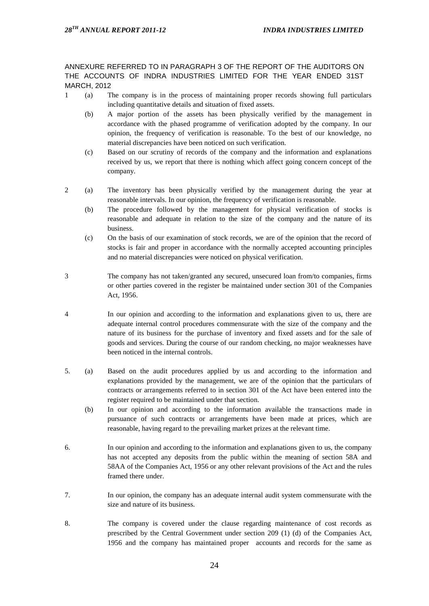ANNEXURE REFERRED TO IN PARAGRAPH 3 OF THE REPORT OF THE AUDITORS ON THE ACCOUNTS OF INDRA INDUSTRIES LIMITED FOR THE YEAR ENDED 31ST MARCH, 2012

- 1 (a) The company is in the process of maintaining proper records showing full particulars including quantitative details and situation of fixed assets.
	- (b) A major portion of the assets has been physically verified by the management in accordance with the phased programme of verification adopted by the company. In our opinion, the frequency of verification is reasonable. To the best of our knowledge, no material discrepancies have been noticed on such verification.
	- (c) Based on our scrutiny of records of the company and the information and explanations received by us, we report that there is nothing which affect going concern concept of the company.
- 2 (a) The inventory has been physically verified by the management during the year at reasonable intervals. In our opinion, the frequency of verification is reasonable.
	- (b) The procedure followed by the management for physical verification of stocks is reasonable and adequate in relation to the size of the company and the nature of its business.
	- (c) On the basis of our examination of stock records, we are of the opinion that the record of stocks is fair and proper in accordance with the normally accepted accounting principles and no material discrepancies were noticed on physical verification.
- 3 The company has not taken/granted any secured, unsecured loan from/to companies, firms or other parties covered in the register be maintained under section 301 of the Companies Act, 1956.
- 4 In our opinion and according to the information and explanations given to us, there are adequate internal control procedures commensurate with the size of the company and the nature of its business for the purchase of inventory and fixed assets and for the sale of goods and services. During the course of our random checking, no major weaknesses have been noticed in the internal controls.
- 5. (a) Based on the audit procedures applied by us and according to the information and explanations provided by the management, we are of the opinion that the particulars of contracts or arrangements referred to in section 301 of the Act have been entered into the register required to be maintained under that section.
	- (b) In our opinion and according to the information available the transactions made in pursuance of such contracts or arrangements have been made at prices, which are reasonable, having regard to the prevailing market prizes at the relevant time.
- 6. In our opinion and according to the information and explanations given to us, the company has not accepted any deposits from the public within the meaning of section 58A and 58AA of the Companies Act, 1956 or any other relevant provisions of the Act and the rules framed there under.
- 7. In our opinion, the company has an adequate internal audit system commensurate with the size and nature of its business.
- 8. The company is covered under the clause regarding maintenance of cost records as prescribed by the Central Government under section 209 (1) (d) of the Companies Act, 1956 and the company has maintained proper accounts and records for the same as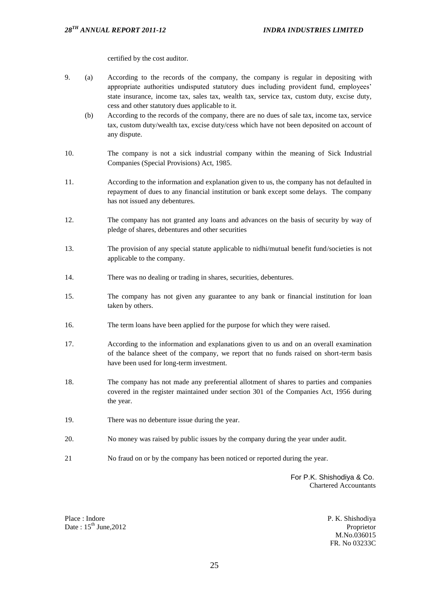certified by the cost auditor.

- 9. (a) According to the records of the company, the company is regular in depositing with appropriate authorities undisputed statutory dues including provident fund, employees' state insurance, income tax, sales tax, wealth tax, service tax, custom duty, excise duty, cess and other statutory dues applicable to it.
	- (b) According to the records of the company, there are no dues of sale tax, income tax, service tax, custom duty/wealth tax, excise duty/cess which have not been deposited on account of any dispute.
- 10. The company is not a sick industrial company within the meaning of Sick Industrial Companies (Special Provisions) Act, 1985.
- 11. According to the information and explanation given to us, the company has not defaulted in repayment of dues to any financial institution or bank except some delays. The company has not issued any debentures.
- 12. The company has not granted any loans and advances on the basis of security by way of pledge of shares, debentures and other securities
- 13. The provision of any special statute applicable to nidhi/mutual benefit fund/societies is not applicable to the company.
- 14. There was no dealing or trading in shares, securities, debentures.
- 15. The company has not given any guarantee to any bank or financial institution for loan taken by others.
- 16. The term loans have been applied for the purpose for which they were raised.
- 17. According to the information and explanations given to us and on an overall examination of the balance sheet of the company, we report that no funds raised on short-term basis have been used for long-term investment.
- 18. The company has not made any preferential allotment of shares to parties and companies covered in the register maintained under section 301 of the Companies Act, 1956 during the year.
- 19. There was no debenture issue during the year.
- 20. No money was raised by public issues by the company during the year under audit.
- 21 No fraud on or by the company has been noticed or reported during the year.

 For P.K. Shishodiya & Co. Chartered Accountants

Place : Indore Date:  $15^{th}$  June, 2012 P. K. Shishodiya Proprietor M.No.036015 FR. No 03233C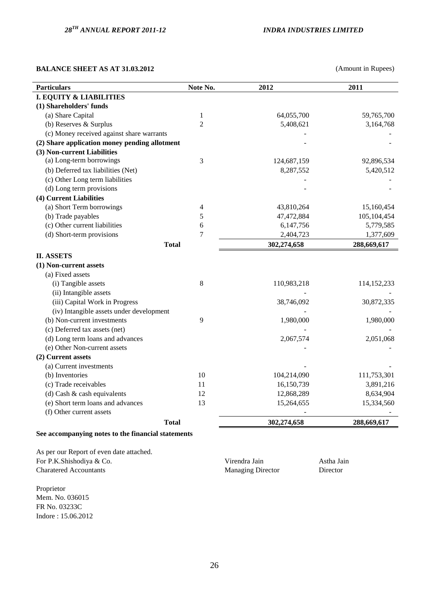## **BALANCE SHEET AS AT 31.03.2012** (Amount in Rupees)

| <b>Particulars</b>                            | Note No.       | 2012        | 2011          |
|-----------------------------------------------|----------------|-------------|---------------|
| <b>I. EQUITY &amp; LIABILITIES</b>            |                |             |               |
| (1) Shareholders' funds                       |                |             |               |
| (a) Share Capital                             | $\mathbf{1}$   | 64,055,700  | 59,765,700    |
| (b) Reserves & Surplus                        | $\overline{2}$ | 5,408,621   | 3,164,768     |
| (c) Money received against share warrants     |                |             |               |
| (2) Share application money pending allotment |                |             |               |
| (3) Non-current Liabilities                   |                |             |               |
| (a) Long-term borrowings                      | 3              | 124,687,159 | 92,896,534    |
| (b) Deferred tax liabilities (Net)            |                | 8,287,552   | 5,420,512     |
| (c) Other Long term liabilities               |                |             |               |
| (d) Long term provisions                      |                |             |               |
| (4) Current Liabilities                       |                |             |               |
| (a) Short Term borrowings                     | 4              | 43,810,264  | 15,160,454    |
| (b) Trade payables                            | 5              | 47,472,884  | 105,104,454   |
| (c) Other current liabilities                 | 6              | 6,147,756   | 5,779,585     |
| (d) Short-term provisions                     | 7              | 2,404,723   | 1,377,609     |
| <b>Total</b>                                  |                | 302,274,658 | 288,669,617   |
| <b>II. ASSETS</b>                             |                |             |               |
| (1) Non-current assets                        |                |             |               |
| (a) Fixed assets                              |                |             |               |
| (i) Tangible assets                           | 8              | 110,983,218 | 114, 152, 233 |
| (ii) Intangible assets                        |                |             |               |
| (iii) Capital Work in Progress                |                | 38,746,092  | 30,872,335    |
| (iv) Intangible assets under development      |                |             |               |
| (b) Non-current investments                   | 9              | 1,980,000   | 1,980,000     |
| (c) Deferred tax assets (net)                 |                |             |               |
| (d) Long term loans and advances              |                | 2,067,574   | 2,051,068     |
| (e) Other Non-current assets                  |                |             |               |
| (2) Current assets                            |                |             |               |
| (a) Current investments                       |                |             |               |
| (b) Inventories                               | 10             | 104,214,090 | 111,753,301   |
| (c) Trade receivables                         | 11             | 16,150,739  | 3,891,216     |
| (d) Cash & cash equivalents                   | 12             | 12,868,289  | 8,634,904     |
| (e) Short term loans and advances             | 13             | 15,264,655  | 15,334,560    |
| (f) Other current assets                      |                |             |               |
| <b>Total</b>                                  |                | 302,274,658 | 288,669,617   |

## **See accompanying notes to the financial statements**

As per our Report of even date attached. For P.K.Shishodiya & Co. Shishodiya Co. Shishodiya a Virendra Jain Astha Jain Astha Jain Charatered Accountants Managing Director Director Director

Proprietor Mem. No. 036015 FR No. 03233C Indore : 15.06.2012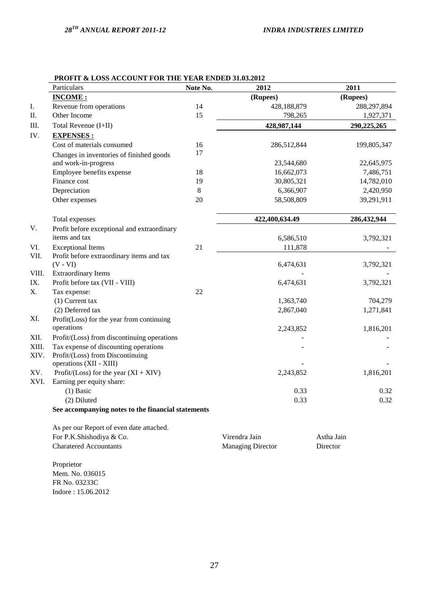|       | Particulars                                                 | Note No. | 2012           | 2011        |
|-------|-------------------------------------------------------------|----------|----------------|-------------|
|       | <b>INCOME:</b>                                              |          | (Rupees)       | (Rupees)    |
| I.    | Revenue from operations                                     | 14       | 428,188,879    | 288,297,894 |
| Π.    | Other Income                                                | 15       | 798,265        | 1,927,371   |
| III.  | Total Revenue (I+II)                                        |          | 428,987,144    | 290,225,265 |
| IV.   | <b>EXPENSES:</b>                                            |          |                |             |
|       | Cost of materials consumed                                  | 16       | 286,512,844    | 199,805,347 |
|       | Changes in inventories of finished goods                    | 17       |                |             |
|       | and work-in-progress                                        |          | 23,544,680     | 22,645,975  |
|       | Employee benefits expense                                   | 18       | 16,662,073     | 7,486,751   |
|       | Finance cost                                                | 19       | 30,805,321     | 14,782,010  |
|       | Depreciation                                                | 8        | 6,366,907      | 2,420,950   |
|       | Other expenses                                              | 20       | 58,508,809     | 39,291,911  |
|       | Total expenses                                              |          | 422,400,634.49 | 286,432,944 |
| V.    | Profit before exceptional and extraordinary                 |          |                |             |
|       | items and tax                                               |          | 6,586,510      | 3,792,321   |
| VI.   | <b>Exceptional Items</b>                                    | 21       | 111,878        |             |
| VII.  | Profit before extraordinary items and tax                   |          |                |             |
|       | $(V - VI)$                                                  |          | 6,474,631      | 3,792,321   |
| VIII. | <b>Extraordinary Items</b>                                  |          |                |             |
| IX.   | Profit before tax (VII - VIII)                              |          | 6,474,631      | 3,792,321   |
| X.    | Tax expense:                                                | 22       |                |             |
|       | $(1)$ Current tax                                           |          | 1,363,740      | 704,279     |
|       | (2) Deferred tax                                            |          | 2,867,040      | 1,271,841   |
| XI.   | Profit(Loss) for the year from continuing                   |          |                |             |
|       | operations                                                  |          | 2,243,852      | 1,816,201   |
| XII.  | Profit/(Loss) from discontinuing operations                 |          |                |             |
| XIII. | Tax expense of discounting operations                       |          |                |             |
| XIV.  | Profit/(Loss) from Discontinuing<br>operations (XII - XIII) |          |                |             |
| XV.   | Profit/(Loss) for the year $(XI + XIV)$                     |          | 2,243,852      | 1,816,201   |
| XVI.  | Earning per equity share:                                   |          |                |             |
|       | $(1)$ Basic                                                 |          | 0.33           | 0.32        |
|       | (2) Diluted                                                 |          | 0.33           | 0.32        |
|       | See accompanying notes to the financial statements          |          |                |             |
|       | As per our Report of even date attached.                    |          |                |             |
|       | For P.K.Shishodiya & Co.                                    |          | Virendra Jain  | Astha Jain  |

## **PROFIT & LOSS ACCOUNT FOR THE YEAR ENDED 31.03.2012**

Proprietor Mem. No. 036015 FR No. 03233C Indore : 15.06.2012

Charatered Accountants Managing Director Director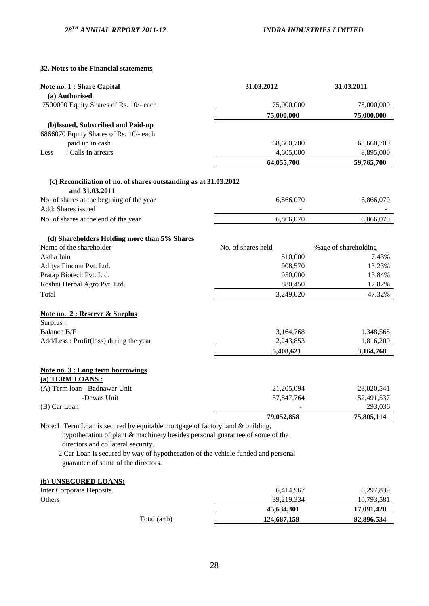## **32. Notes to the Financial statements**

| <b>Note no. 1 : Share Capital</b>                                                                                        | 31.03.2012         | 31.03.2011            |
|--------------------------------------------------------------------------------------------------------------------------|--------------------|-----------------------|
| (a) Authorised                                                                                                           |                    |                       |
| 7500000 Equity Shares of Rs. 10/- each                                                                                   | 75,000,000         | 75,000,000            |
|                                                                                                                          | 75,000,000         | 75,000,000            |
| (b)Issued, Subscribed and Paid-up                                                                                        |                    |                       |
| 6866070 Equity Shares of Rs. 10/- each                                                                                   |                    |                       |
| paid up in cash                                                                                                          | 68,660,700         | 68,660,700            |
| : Calls in arrears<br>Less                                                                                               | 4,605,000          | 8,895,000             |
|                                                                                                                          | 64,055,700         | 59,765,700            |
| (c) Reconciliation of no. of shares outstanding as at 31.03.2012                                                         |                    |                       |
| and 31.03.2011                                                                                                           |                    |                       |
| No. of shares at the begining of the year                                                                                | 6,866,070          | 6,866,070             |
| Add: Shares issued                                                                                                       |                    |                       |
| No. of shares at the end of the year                                                                                     | 6,866,070          | 6,866,070             |
| (d) Shareholders Holding more than 5% Shares                                                                             |                    |                       |
| Name of the shareholder                                                                                                  | No. of shares held | % age of shareholding |
| Astha Jain                                                                                                               | 510,000            | 7.43%                 |
| Aditya Fincom Pvt. Ltd.                                                                                                  | 908,570            | 13.23%                |
| Pratap Biotech Pvt. Ltd.                                                                                                 | 950,000            | 13.84%                |
| Roshni Herbal Agro Pvt. Ltd.                                                                                             | 880,450            | 12.82%                |
| Total                                                                                                                    | 3,249,020          | 47.32%                |
| Note no. 2 : Reserve & Surplus                                                                                           |                    |                       |
| Surplus:                                                                                                                 |                    |                       |
| Balance B/F                                                                                                              | 3,164,768          | 1,348,568             |
| Add/Less: Profit(loss) during the year                                                                                   | 2,243,853          | 1,816,200             |
|                                                                                                                          | 5,408,621          | 3,164,768             |
| Note no. 3 : Long term borrowings                                                                                        |                    |                       |
| (a) TERM LOANS:                                                                                                          |                    |                       |
| (A) Term loan - Badnawar Unit                                                                                            | 21,205,094         | 23,020,541            |
| -Dewas Unit                                                                                                              | 57,847,764         | 52,491,537            |
| (B) Car Loan                                                                                                             |                    | 293,036               |
|                                                                                                                          | 79,052,858         | 75,805,114            |
| Note:1 Term Loan is secured by equitable mortgage of factory land & building,                                            |                    |                       |
| hypothecation of plant & machinery besides personal guarantee of some of the<br>directors and collateral security.       |                    |                       |
|                                                                                                                          |                    |                       |
| 2. Car Loan is secured by way of hypothecation of the vehicle funded and personal<br>guarantee of some of the directors. |                    |                       |
| (b) UNSECURED LOANS:                                                                                                     |                    |                       |
| <b>Inter Corporate Deposits</b>                                                                                          | 6,414,967          | 6,297,839             |
| Others                                                                                                                   | 39,219,334         | 10,793,581            |
|                                                                                                                          | 45,634,301         | 17,091,420            |

Total (a+b) **124,687,159** 92,896,534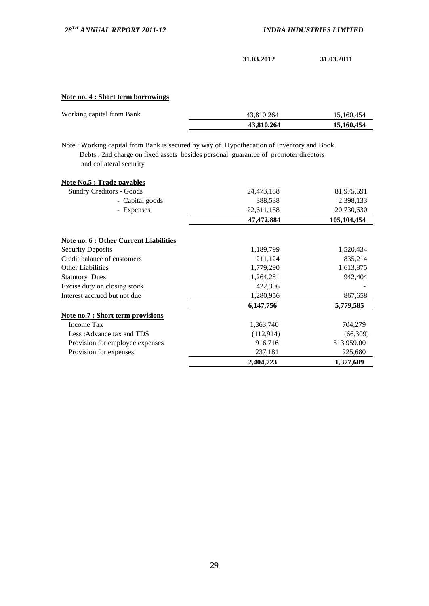**31.03.2012 31.03.2011**

## **Note no. 4 : Short term borrowings**

| Working capital from Bank | 43.810.264 | 15.160.454 |
|---------------------------|------------|------------|
|                           | 43,810,264 | 15,160,454 |

Note : Working capital from Bank is secured by way of Hypothecation of Inventory and Book Debts , 2nd charge on fixed assets besides personal guarantee of promoter directors and collateral security

| <b>Note No.5 : Trade payables</b>        |            |             |
|------------------------------------------|------------|-------------|
| <b>Sundry Creditors - Goods</b>          | 24,473,188 | 81,975,691  |
| - Capital goods                          | 388,538    | 2,398,133   |
| - Expenses                               | 22,611,158 | 20,730,630  |
|                                          | 47,472,884 | 105,104,454 |
| Note no. 6 : Other Current Liabilities   |            |             |
| <b>Security Deposits</b>                 | 1,189,799  | 1,520,434   |
| Credit balance of customers              | 211,124    | 835,214     |
| <b>Other Liabilities</b>                 | 1,779,290  | 1,613,875   |
| <b>Statutory Dues</b>                    | 1,264,281  | 942,404     |
| Excise duty on closing stock             | 422,306    |             |
| Interest accrued but not due             | 1,280,956  | 867,658     |
|                                          | 6,147,756  | 5,779,585   |
| <u>Note no.7 : Short term provisions</u> |            |             |
| Income Tax                               | 1,363,740  | 704,279     |
| Less: Advance tax and TDS                | (112, 914) | (66,309)    |
| Provision for employee expenses          | 916,716    | 513,959.00  |
| Provision for expenses                   | 237,181    | 225,680     |
|                                          | 2,404,723  | 1,377,609   |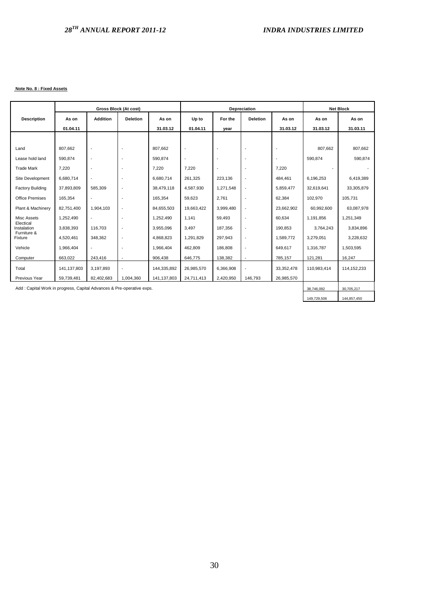#### **Note No. 8 : Fixed Assets**

|                                                                       | Gross Block (At cost) |                          | Depreciation    |             |                          |                          | <b>Net Block</b>         |            |             |               |
|-----------------------------------------------------------------------|-----------------------|--------------------------|-----------------|-------------|--------------------------|--------------------------|--------------------------|------------|-------------|---------------|
| <b>Description</b>                                                    | As on                 | <b>Addition</b>          | <b>Deletion</b> | As on       | Up to                    | For the                  | <b>Deletion</b>          | As on      | As on       | As on         |
|                                                                       | 01.04.11              |                          |                 | 31.03.12    | 01.04.11                 | year                     |                          | 31.03.12   | 31.03.12    | 31.03.11      |
|                                                                       |                       |                          |                 |             |                          |                          |                          |            |             |               |
| Land                                                                  | 807.662               | $\overline{\phantom{a}}$ |                 | 807,662     |                          |                          | $\overline{\phantom{a}}$ |            | 807,662     | 807,662       |
| Lease hold land                                                       | 590,874               | $\overline{\phantom{a}}$ |                 | 590,874     | $\overline{\phantom{a}}$ |                          | $\overline{\phantom{a}}$ |            | 590,874     | 590,874       |
| <b>Trade Mark</b>                                                     | 7,220                 | $\overline{\phantom{a}}$ |                 | 7,220       | 7,220                    | $\overline{\phantom{a}}$ | $\overline{\phantom{a}}$ | 7,220      |             |               |
| Site Development                                                      | 6,680,714             |                          |                 | 6,680,714   | 261,325                  | 223,136                  | $\overline{\phantom{a}}$ | 484,461    | 6,196,253   | 6,419,389     |
| <b>Factory Building</b>                                               | 37,893,809            | 585,309                  |                 | 38,479,118  | 4,587,930                | 1,271,548                | $\overline{\phantom{a}}$ | 5,859,477  | 32,619,641  | 33,305,879    |
| <b>Office Premises</b>                                                | 165,354               | $\overline{\phantom{a}}$ |                 | 165,354     | 59,623                   | 2,761                    | $\overline{\phantom{a}}$ | 62,384     | 102,970     | 105.731       |
| Plant & Machinery                                                     | 82,751,400            | 1.904.103                |                 | 84.655.503  | 19.663.422               | 3,999,480                | $\overline{\phantom{a}}$ | 23,662,902 | 60.992.600  | 63,087,978    |
| Misc Assets                                                           | 1,252,490             | $\overline{\phantom{a}}$ |                 | 1,252,490   | 1,141                    | 59,493                   | $\overline{\phantom{a}}$ | 60,634     | 1,191,856   | 1,251,349     |
| Electical<br>Instalation                                              | 3,838,393             | 116.703                  |                 | 3,955,096   | 3,497                    | 187,356                  | $\overline{\phantom{a}}$ | 190,853    | 3,764,243   | 3,834,896     |
| Furniture &<br>Fixture                                                | 4,520,461             | 348.362                  |                 | 4,868,823   | 1,291,829                | 297,943                  | $\overline{\phantom{a}}$ | 1,589,772  | 3,279,051   | 3,228,632     |
| Vehicle                                                               | 1,966,404             | $\overline{\phantom{a}}$ |                 | 1,966,404   | 462,809                  | 186,808                  | $\overline{\phantom{a}}$ | 649,617    | 1,316,787   | 1,503,595     |
| Computer                                                              | 663,022               | 243,416                  |                 | 906,438     | 646,775                  | 138,382                  | $\overline{\phantom{a}}$ | 785,157    | 121,281     | 16,247        |
| Total                                                                 | 141,137,803           | 3,197,893                |                 | 144,335,892 | 26,985,570               | 6,366,908                | ÷,                       | 33,352,478 | 110,983,414 | 114, 152, 233 |
| Previous Year                                                         | 59,739,481            | 82,402,683               | 1,004,360       | 141,137,803 | 24,711,413               | 2,420,950                | 146,793                  | 26,985,570 |             |               |
| Add: Capital Work in progress, Capital Advances & Pre-operative exps. |                       |                          |                 |             |                          |                          |                          |            | 38,746,092  | 30.705.217    |
|                                                                       |                       |                          |                 |             |                          |                          |                          |            | 149,729,506 | 144,857,450   |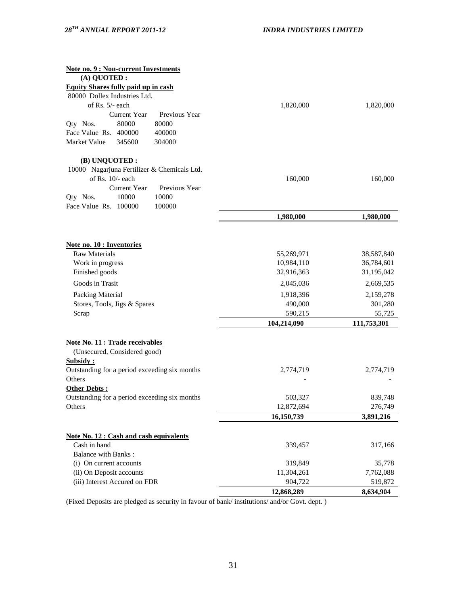| <b>Note no. 9 : Non-current Investments</b>                            |             |             |
|------------------------------------------------------------------------|-------------|-------------|
| (A) QUOTED :                                                           |             |             |
| <b>Equity Shares fully paid up in cash</b>                             |             |             |
| 80000 Dollex Industries Ltd.                                           |             |             |
| of Rs. 5/- each                                                        | 1,820,000   | 1,820,000   |
| Previous Year<br><b>Current Year</b>                                   |             |             |
| 80000<br>80000<br>Qty Nos.                                             |             |             |
| Face Value Rs. 400000<br>400000                                        |             |             |
| Market Value<br>345600<br>304000                                       |             |             |
| (B) UNQUOTED:                                                          |             |             |
| 10000 Nagarjuna Fertilizer & Chemicals Ltd.                            |             |             |
| of Rs. 10/- each                                                       | 160,000     | 160,000     |
| <b>Current Year</b><br>Previous Year                                   |             |             |
| 10000<br>10000<br>Qty Nos.                                             |             |             |
| Face Value Rs. 100000<br>100000                                        |             |             |
|                                                                        | 1,980,000   | 1,980,000   |
|                                                                        |             |             |
| <b>Note no. 10 : Inventories</b><br><b>Raw Materials</b>               | 55,269,971  | 38,587,840  |
| Work in progress                                                       | 10,984,110  | 36,784,601  |
| Finished goods                                                         | 32,916,363  | 31,195,042  |
|                                                                        |             |             |
| Goods in Trasit                                                        | 2,045,036   | 2,669,535   |
| Packing Material                                                       | 1,918,396   | 2,159,278   |
| Stores, Tools, Jigs & Spares                                           | 490,000     | 301,280     |
| Scrap                                                                  | 590,215     | 55,725      |
|                                                                        | 104,214,090 | 111,753,301 |
| <b>Note No. 11 : Trade receivables</b><br>(Unsecured, Considered good) |             |             |
| <b>Subsidy:</b>                                                        |             |             |
| Outstanding for a period exceeding six months                          | 2,774,719   | 2,774,719   |
| Others                                                                 |             |             |
| Other Debts:                                                           |             |             |
| Outstanding for a period exceeding six months                          | 503,327     | 839,748     |
| Others                                                                 | 12,872,694  | 276,749     |
|                                                                        |             |             |
|                                                                        | 16,150,739  | 3,891,216   |
| <b>Note No. 12: Cash and cash equivalents</b>                          |             |             |
| Cash in hand                                                           | 339,457     | 317,166     |
| <b>Balance with Banks:</b>                                             |             |             |
| (i) On current accounts                                                | 319,849     | 35,778      |
| (ii) On Deposit accounts                                               | 11,304,261  | 7,762,088   |
| (iii) Interest Accured on FDR                                          | 904,722     | 519,872     |
|                                                                        | 12,868,289  | 8,634,904   |

(Fixed Deposits are pledged as security in favour of bank/ institutions/ and/or Govt. dept. )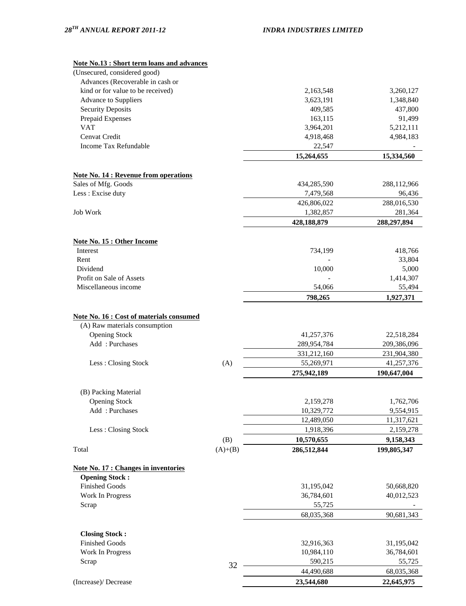# **Note No.13 : Short term loans and advances**

| Note No.13 : Short term Ioans and advances      |           |             |             |
|-------------------------------------------------|-----------|-------------|-------------|
| (Unsecured, considered good)                    |           |             |             |
| Advances (Recoverable in cash or                |           |             |             |
| kind or for value to be received)               |           | 2,163,548   | 3,260,127   |
| Advance to Suppliers                            |           | 3,623,191   | 1,348,840   |
| <b>Security Deposits</b>                        |           | 409,585     | 437,800     |
| Prepaid Expenses                                |           | 163,115     | 91,499      |
| <b>VAT</b>                                      |           | 3,964,201   | 5,212,111   |
| Cenvat Credit                                   |           | 4,918,468   | 4,984,183   |
| Income Tax Refundable                           |           | 22,547      |             |
|                                                 |           | 15,264,655  | 15,334,560  |
| <b>Note No. 14 : Revenue from operations</b>    |           |             |             |
| Sales of Mfg. Goods                             |           | 434,285,590 | 288,112,966 |
| Less : Excise duty                              |           | 7,479,568   | 96,436      |
|                                                 |           | 426,806,022 | 288,016,530 |
| Job Work                                        |           | 1,382,857   | 281,364     |
|                                                 |           | 428,188,879 | 288,297,894 |
|                                                 |           |             |             |
| <b>Note No. 15 : Other Income</b>               |           |             |             |
| <b>Interest</b>                                 |           | 734,199     | 418,766     |
| Rent                                            |           |             | 33,804      |
| Dividend                                        |           | 10,000      | 5,000       |
| Profit on Sale of Assets                        |           |             | 1,414,307   |
| Miscellaneous income                            |           | 54,066      | 55,494      |
|                                                 |           | 798,265     | 1,927,371   |
| <b>Note No. 16 : Cost of materials consumed</b> |           |             |             |
| (A) Raw materials consumption                   |           |             |             |
| <b>Opening Stock</b>                            |           | 41,257,376  | 22,518,284  |
| Add: Purchases                                  |           | 289,954,784 | 209,386,096 |
|                                                 |           | 331,212,160 | 231,904,380 |
| Less: Closing Stock                             | (A)       | 55,269,971  | 41,257,376  |
|                                                 |           | 275,942,189 | 190,647,004 |
|                                                 |           |             |             |
| (B) Packing Material                            |           |             |             |
| <b>Opening Stock</b>                            |           | 2,159,278   | 1,762,706   |
| Add: Purchases                                  |           | 10,329,772  | 9,554,915   |
|                                                 |           | 12,489,050  | 11,317,621  |
| Less: Closing Stock                             |           | 1,918,396   | 2,159,278   |
|                                                 | (B)       | 10,570,655  | 9,158,343   |
| Total                                           | $(A)+(B)$ | 286,512,844 | 199,805,347 |
| <b>Note No. 17 : Changes in inventories</b>     |           |             |             |
| <b>Opening Stock:</b>                           |           |             |             |
| <b>Finished Goods</b>                           |           | 31,195,042  | 50,668,820  |
| Work In Progress                                |           | 36,784,601  | 40,012,523  |
| Scrap                                           |           | 55,725      |             |
|                                                 |           | 68,035,368  | 90,681,343  |

32

(Increase)/ Decrease **23,544,680 22,645,975** 

44,490,688 68,035,368

 **Closing Stock :**

Finished Goods 31,195,042 Work In Progress 26,784,601 Scrap 590,215 55,725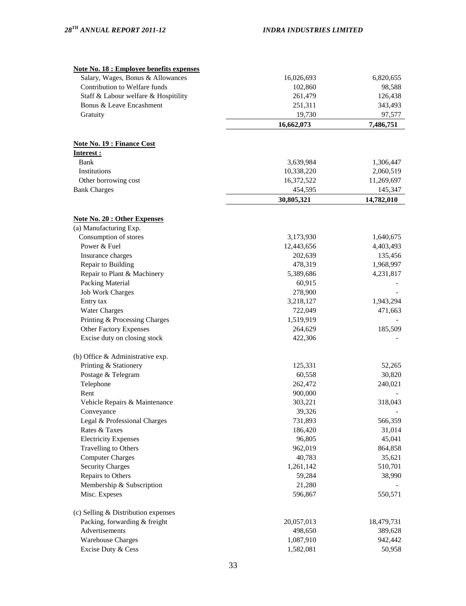| <b>Note No. 18 : Employee benefits expenses</b>              |            |            |
|--------------------------------------------------------------|------------|------------|
| Salary, Wages, Bonus & Allowances                            | 16,026,693 | 6,820,655  |
| Contribution to Welfare funds                                | 102,860    | 98,588     |
| Staff & Labour welfare & Hospitility                         | 261,479    | 126,438    |
| Bonus & Leave Encashment                                     | 251,311    | 343,493    |
| Gratuity                                                     | 19,730     | 97,577     |
|                                                              | 16,662,073 | 7,486,751  |
| <b>Note No. 19 : Finance Cost</b>                            |            |            |
| Interest :                                                   |            |            |
| Bank                                                         | 3,639,984  | 1,306,447  |
| Institutions                                                 | 10,338,220 | 2,060,519  |
| Other borrowing cost                                         | 16,372,522 | 11,269,697 |
| <b>Bank Charges</b>                                          | 454,595    | 145,347    |
|                                                              | 30,805,321 | 14,782,010 |
|                                                              |            |            |
| <b>Note No. 20: Other Expenses</b><br>(a) Manufacturing Exp. |            |            |
| Consumption of stores                                        | 3,173,930  | 1,640,675  |
| Power & Fuel                                                 | 12,443,656 | 4,403,493  |
| Insurance charges                                            | 202,639    | 135,456    |
| Repair to Building                                           | 478,319    | 1,968,997  |
| Repair to Plant & Machinery                                  | 5,389,686  | 4,231,817  |
| Packing Material                                             | 60,915     |            |
| <b>Job Work Charges</b>                                      | 278,900    |            |
| Entry tax                                                    | 3,218,127  | 1,943,294  |
| <b>Water Charges</b>                                         | 722,049    | 471,663    |
| Printing & Processing Charges                                | 1,519,919  |            |
| <b>Other Factory Expenses</b>                                | 264,629    | 185,509    |
| Excise duty on closing stock                                 | 422,306    |            |
| (b) Office & Administrative exp.                             |            |            |
| Printing & Stationery                                        | 125,331    | 52,265     |
| Postage & Telegram                                           | 60,558     | 30,820     |
| Telephone                                                    | 262,472    | 240,021    |
| Rent                                                         | 900,000    |            |
| Vehicle Repairs & Maintenance                                | 303,221    | 318,043    |
| Conveyance                                                   | 39,326     |            |
| Legal & Professional Charges                                 | 731,893    | 566,359    |
| Rates & Taxes                                                | 186,420    | 31,014     |
| <b>Electricity Expenses</b>                                  | 96,805     | 45,041     |
| Travelling to Others                                         | 962,019    | 864,858    |
| <b>Computer Charges</b>                                      | 40,783     | 35,621     |
| <b>Security Charges</b>                                      | 1,261,142  | 510,701    |
| Repairs to Others                                            | 59,284     | 38,990     |
| Membership & Subscription                                    | 21,280     |            |
| Misc. Expeses                                                | 596,867    | 550,571    |
| (c) Selling & Distribution expenses                          |            |            |
| Packing, forwarding & freight                                | 20,057,013 | 18,479,731 |
| Advertisements                                               | 498,650    | 389,628    |
| <b>Warehouse Charges</b>                                     | 1,087,910  | 942,442    |
| Excise Duty & Cess                                           | 1,582,081  | 50,958     |
|                                                              |            |            |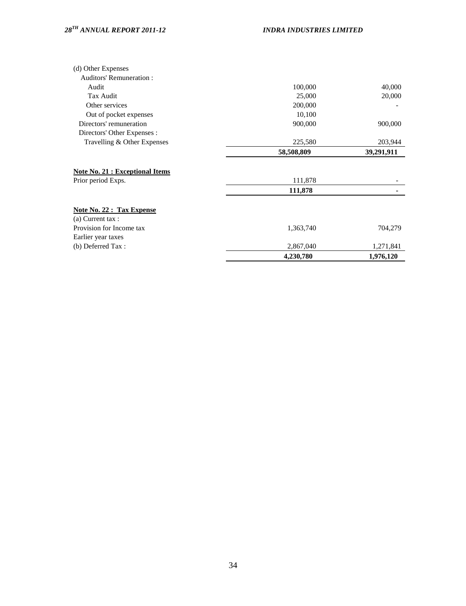| (d) Other Expenses                    |            |            |
|---------------------------------------|------------|------------|
| <b>Auditors' Remuneration:</b>        |            |            |
| Audit                                 | 100,000    | 40,000     |
| Tax Audit                             | 25,000     | 20,000     |
| Other services                        | 200,000    |            |
| Out of pocket expenses                | 10,100     |            |
| Directors' remuneration               | 900,000    | 900,000    |
| Directors' Other Expenses :           |            |            |
| Travelling & Other Expenses           | 225,580    | 203,944    |
|                                       | 58,508,809 | 39,291,911 |
| <b>Note No. 21: Exceptional Items</b> |            |            |
| Prior period Exps.                    | 111,878    |            |
|                                       | 111,878    |            |
| <b>Note No. 22 : Tax Expense</b>      |            |            |
| $(a)$ Current tax :                   |            |            |
| Provision for Income tax              | 1,363,740  | 704,279    |
| Earlier year taxes                    |            |            |
| (b) Deferred Tax:                     | 2,867,040  | 1,271,841  |
|                                       | 4,230,780  | 1,976,120  |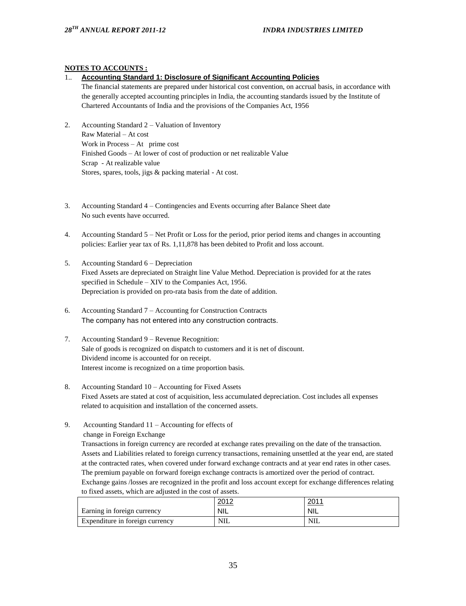## **NOTES TO ACCOUNTS :**

#### 1.. **Accounting Standard 1: Disclosure of Significant Accounting Policies**

The financial statements are prepared under historical cost convention, on accrual basis, in accordance with the generally accepted accounting principles in India, the accounting standards issued by the Institute of Chartered Accountants of India and the provisions of the Companies Act, 1956

- 2. Accounting Standard 2 Valuation of Inventory Raw Material – At cost Work in Process – At prime cost Finished Goods – At lower of cost of production or net realizable Value Scrap - At realizable value Stores, spares, tools, jigs & packing material - At cost.
- 3. Accounting Standard 4 Contingencies and Events occurring after Balance Sheet date No such events have occurred.
- 4. Accounting Standard 5 Net Profit or Loss for the period, prior period items and changes in accounting policies: Earlier year tax of Rs. 1,11,878 has been debited to Profit and loss account.
- 5. Accounting Standard 6 Depreciation Fixed Assets are depreciated on Straight line Value Method. Depreciation is provided for at the rates specified in Schedule – XIV to the Companies Act, 1956. Depreciation is provided on pro-rata basis from the date of addition.
- 6. Accounting Standard 7 Accounting for Construction Contracts The company has not entered into any construction contracts.
- 7. Accounting Standard 9 Revenue Recognition: Sale of goods is recognized on dispatch to customers and it is net of discount. Dividend income is accounted for on receipt. Interest income is recognized on a time proportion basis.
- 8. Accounting Standard 10 Accounting for Fixed Assets Fixed Assets are stated at cost of acquisition, less accumulated depreciation. Cost includes all expenses related to acquisition and installation of the concerned assets.
- 9. Accounting Standard 11 Accounting for effects of change in Foreign Exchange

Transactions in foreign currency are recorded at exchange rates prevailing on the date of the transaction. Assets and Liabilities related to foreign currency transactions, remaining unsettled at the year end, are stated at the contracted rates, when covered under forward exchange contracts and at year end rates in other cases. The premium payable on forward foreign exchange contracts is amortized over the period of contract. Exchange gains /losses are recognized in the profit and loss account except for exchange differences relating to fixed assets, which are adjusted in the cost of assets.

|                                 | <u>വധാ</u><br>ZUIZ | <u>2011</u> |
|---------------------------------|--------------------|-------------|
| Earning in foreign currency     | <b>NIL</b>         | <b>NIL</b>  |
| Expenditure in foreign currency | <b>NIL</b>         | NIL         |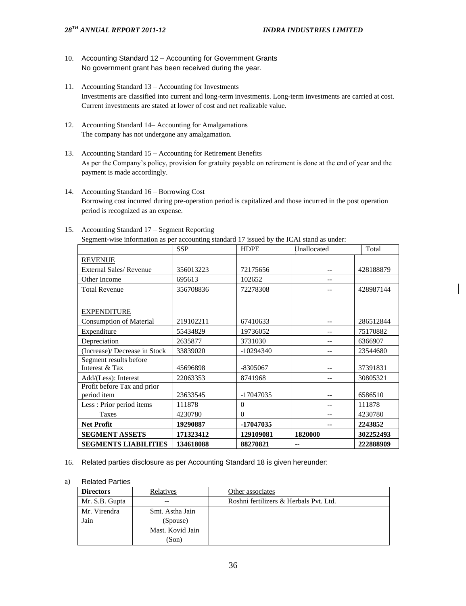- 10. Accounting Standard 12 Accounting for Government Grants No government grant has been received during the year.
- 11. Accounting Standard 13 Accounting for Investments Investments are classified into current and long-term investments. Long-term investments are carried at cost. Current investments are stated at lower of cost and net realizable value.
- 12. Accounting Standard 14– Accounting for Amalgamations The company has not undergone any amalgamation.
- 13. Accounting Standard 15 Accounting for Retirement Benefits As per the Company's policy, provision for gratuity payable on retirement is done at the end of year and the payment is made accordingly.
- 14. Accounting Standard 16 Borrowing Cost Borrowing cost incurred during pre-operation period is capitalized and those incurred in the post operation period is recognized as an expense.

|                                            | <b>SSP</b> | HDPE        | Unallocated              | Total     |
|--------------------------------------------|------------|-------------|--------------------------|-----------|
| <b>REVENUE</b>                             |            |             |                          |           |
| External Sales/Revenue                     | 356013223  | 72175656    | $\overline{\phantom{m}}$ | 428188879 |
| Other Income                               | 695613     | 102652      | $\overline{\phantom{m}}$ |           |
| <b>Total Revenue</b>                       | 356708836  | 72278308    | --                       | 428987144 |
| <b>EXPENDITURE</b>                         |            |             |                          |           |
| <b>Consumption of Material</b>             | 219102211  | 67410633    | $\overline{\phantom{m}}$ | 286512844 |
| Expenditure                                | 55434829   | 19736052    | $\sim$ $\sim$            | 75170882  |
| Depreciation                               | 2635877    | 3731030     | $\overline{\phantom{m}}$ | 6366907   |
| (Increase)/ Decrease in Stock              | 33839020   | $-10294340$ | $\sim$ $\sim$            | 23544680  |
| Segment results before                     |            |             |                          |           |
| Interest & Tax                             | 45696898   | -8305067    | $\sim$ $\sim$            | 37391831  |
| Add/(Less): Interest                       | 22063353   | 8741968     | $\sim$ $\sim$            | 30805321  |
| Profit before Tax and prior<br>period item | 23633545   | -17047035   | --                       | 6586510   |
| Less: Prior period items                   | 111878     | $\theta$    | $\sim$ $\sim$            | 111878    |
| Taxes                                      | 4230780    | $\Omega$    | $\sim$ $\sim$            | 4230780   |
| <b>Net Profit</b>                          | 19290887   | -17047035   |                          | 2243852   |
| <b>SEGMENT ASSETS</b>                      | 171323412  | 129109081   | 1820000                  | 302252493 |
| <b>SEGMENTS LIABILITIES</b>                | 134618088  | 88270821    | --                       | 222888909 |

#### 15. Accounting Standard 17 – Segment Reporting

Segment-wise information as per accounting standard 17 issued by the ICAI stand as under:

#### 16. Related parties disclosure as per Accounting Standard 18 is given hereunder:

#### a) Related Parties

| <b>Directors</b> | Relatives        | Other associates                       |
|------------------|------------------|----------------------------------------|
| Mr. S.B. Gupta   |                  | Roshni fertilizers & Herbals Pvt. Ltd. |
| Mr. Virendra     | Smt. Astha Jain  |                                        |
| Jain             | (Spouse)         |                                        |
|                  | Mast. Kovid Jain |                                        |
|                  | (Son)            |                                        |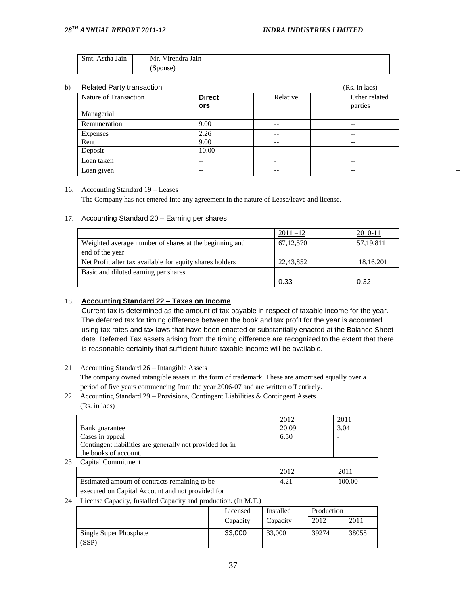| Smt. Astha Jain<br>Mr.<br>Virendra Jain |
|-----------------------------------------|
| (Spouse)                                |

| b) | <b>Related Party transaction</b> |               | (Rs. in lacs)            |                   |  |
|----|----------------------------------|---------------|--------------------------|-------------------|--|
|    | Nature of Transaction            | <b>Direct</b> | Relative                 | Other related     |  |
|    |                                  | <u>ors</u>    |                          | parties           |  |
|    | Managerial                       |               |                          |                   |  |
|    | Remuneration                     | 9.00          | $\overline{\phantom{m}}$ | $\qquad \qquad -$ |  |
|    | Expenses                         | 2.26          | $- -$                    | $- -$             |  |
|    | Rent                             | 9.00          | $- -$                    | $- -$             |  |
|    | Deposit                          | 10.00         | $\overline{\phantom{m}}$ | $- -$             |  |
|    | Loan taken                       | $- -$         | -                        | $- -$             |  |
|    | Loan given                       | $- -$         | $\overline{\phantom{m}}$ | $\qquad \qquad -$ |  |

#### 16. Accounting Standard 19 – Leases

The Company has not entered into any agreement in the nature of Lease/leave and license.

#### 17. Accounting Standard 20 – Earning per shares

|                                                          | $2011 - 12$ | 2010-11     |
|----------------------------------------------------------|-------------|-------------|
| Weighted average number of shares at the beginning and   | 67, 12, 570 | 57, 19, 811 |
| end of the year                                          |             |             |
| Net Profit after tax available for equity shares holders | 22,43,852   | 18, 16, 201 |
| Basic and diluted earning per shares                     |             |             |
|                                                          | 0.33        | 0.32        |

#### 18. **Accounting Standard 22 – Taxes on Income**

Current tax is determined as the amount of tax payable in respect of taxable income for the year. The deferred tax for timing difference between the book and tax profit for the year is accounted using tax rates and tax laws that have been enacted or substantially enacted at the Balance Sheet date. Deferred Tax assets arising from the timing difference are recognized to the extent that there is reasonable certainty that sufficient future taxable income will be available.

21 Accounting Standard 26 – Intangible Assets

The company owned intangible assets in the form of trademark. These are amortised equally over a period of five years commencing from the year 2006-07 and are written off entirely.

22 Accounting Standard 29 – Provisions, Contingent Liabilities & Contingent Assets (Rs. in lacs)

|                                                          | 2012  |      |
|----------------------------------------------------------|-------|------|
| Bank guarantee                                           | 20.09 | 3.04 |
| Cases in appeal                                          | 6.50  |      |
| Contingent liabilities are generally not provided for in |       |      |
| the books of account.                                    |       |      |

23 Capital Commitment

|                                                  | 2012 | 2011   |
|--------------------------------------------------|------|--------|
| Estimated amount of contracts remaining to be    | 4.21 | 100.00 |
| executed on Capital Account and not provided for |      |        |

#### 24 License Capacity, Installed Capacity and production. (In M.T.)

|                                 | Licensed | Installed | Production |       |
|---------------------------------|----------|-----------|------------|-------|
|                                 | Capacity | Capacity  | 2012       | 2011  |
| Single Super Phosphate<br>(SSP) | 33,000   | 33,000    | 39274      | 38058 |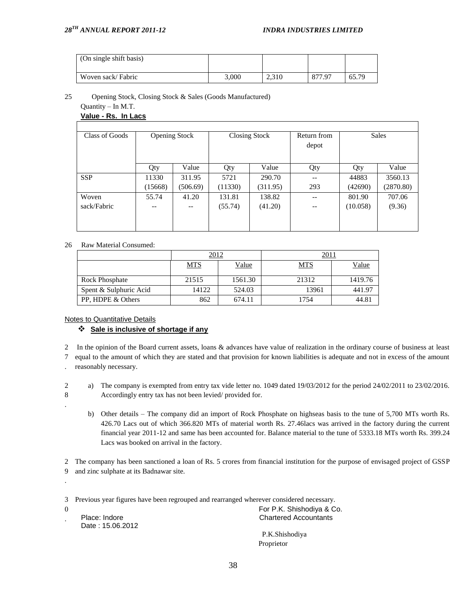| (On single shift basis) |       |       |        |       |
|-------------------------|-------|-------|--------|-------|
| Woven sack/Fabric       | 3.000 | 2,310 | 877.97 | 65.79 |

25 Opening Stock, Closing Stock & Sales (Goods Manufactured)

#### Quantity – In M.T. **Value - Rs. In Lacs**

|         |          |                               |          | Return from                   |          | <b>Sales</b> |
|---------|----------|-------------------------------|----------|-------------------------------|----------|--------------|
|         |          |                               |          | depot                         |          |              |
|         |          |                               |          |                               |          |              |
|         |          |                               |          |                               |          | Value        |
|         |          |                               |          |                               |          |              |
| 11330   | 311.95   | 5721                          | 290.70   | $-$                           | 44883    | 3560.13      |
| (15668) | (506.69) | (11330)                       | (311.95) | 293                           | (42690)  | (2870.80)    |
| 55.74   | 41.20    | 131.81                        | 138.82   | --                            | 801.90   | 707.06       |
| --      | --       | (55.74)                       | (41.20)  | $- -$                         | (10.058) | (9.36)       |
|         |          |                               |          |                               |          |              |
|         |          |                               |          |                               |          |              |
|         | Qty      | <b>Opening Stock</b><br>Value | Qty      | <b>Closing Stock</b><br>Value | Qty      | Qty          |

## 26 Raw Material Consumed:

|                        | 2012       |              |            |         |  |
|------------------------|------------|--------------|------------|---------|--|
|                        | <b>MTS</b> | <u>Value</u> | <b>MTS</b> | Value   |  |
| <b>Rock Phosphate</b>  | 21515      | 1561.30      | 21312      | 1419.76 |  |
| Spent & Sulphuric Acid | 14122      | 524.03       | 13961      | 441.97  |  |
| PP, HDPE & Others      | 862        | 674.11       | 1754       | 44.81   |  |

Notes to Quantitative Details

## **Sale is inclusive of shortage if any**

2 In the opinion of the Board current assets, loans & advances have value of realization in the ordinary course of business at least

7 equal to the amount of which they are stated and that provision for known liabilities is adequate and not in excess of the amount

. reasonably necessary.

2 8 a) The company is exempted from entry tax vide letter no. 1049 dated 19/03/2012 for the period 24/02/2011 to 23/02/2016. Accordingly entry tax has not been levied/ provided for.

b) Other details – The company did an import of Rock Phosphate on highseas basis to the tune of 5,700 MTs worth Rs. 426.70 Lacs out of which 366.820 MTs of material worth Rs. 27.46lacs was arrived in the factory during the current financial year 2011-12 and same has been accounted for. Balance material to the tune of 5333.18 MTs worth Rs. 399.24 Lacs was booked on arrival in the factory.

2 The company has been sanctioned a loan of Rs. 5 crores from financial institution for the purpose of envisaged project of GSSP 9 and zinc sulphate at its Badnawar site.

3 Previous year figures have been regrouped and rearranged wherever considered necessary.

0 .

.

.

Date : 15.06.2012

 For P.K. Shishodiya & Co. **Chartered Accountants** 

> P.K.Shishodiya Proprietor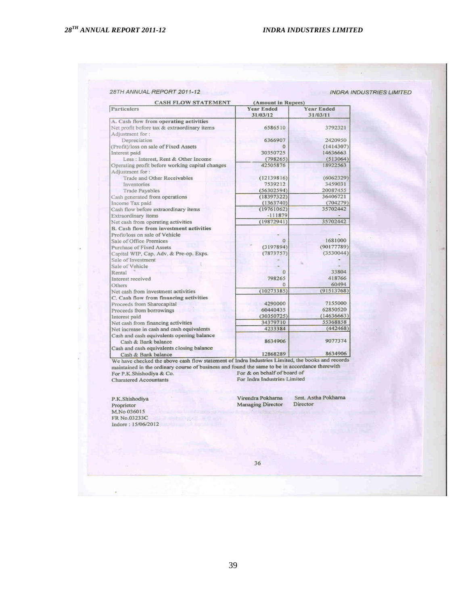|  |  | 28TH ANNUAL REPORT 2011-12 |  |
|--|--|----------------------------|--|
|--|--|----------------------------|--|

#### **INDRA INDUSTRIES LIMITED**

| <b>CASH FLOW STATEMENT</b>                                                                                                                                           | (Amount in Rupees)            |                               |
|----------------------------------------------------------------------------------------------------------------------------------------------------------------------|-------------------------------|-------------------------------|
| Particulers                                                                                                                                                          | <b>Year Ended</b><br>31/03/12 | <b>Year Ended</b><br>31/03/11 |
| A. Cash flow from operating activities                                                                                                                               |                               |                               |
| Net profit before tax & extraordinary items                                                                                                                          | 6586510                       | 3792321                       |
| Adjustment for:                                                                                                                                                      |                               |                               |
| Depreciation                                                                                                                                                         | 6366907                       | 2420950                       |
| (Profit)/loss on sale of Fixed Assets                                                                                                                                | $\Omega$                      | (1414307)                     |
| Interest paid                                                                                                                                                        | 30350725                      | 14636663                      |
| Less : Interest, Rent & Other Income                                                                                                                                 | (798265)                      | (513064)                      |
| Operating profit before working capital changes<br>Adjustment for:                                                                                                   | 42505876                      | 18922563                      |
| Trade and Other Receivables                                                                                                                                          | (12139816)                    | (6062329)                     |
| Inventories                                                                                                                                                          | 7539212                       | 3459031                       |
| <b>Trade Payables</b>                                                                                                                                                | (56302594)                    | 20087455                      |
| Cash generated from operations                                                                                                                                       | (18397322)                    | 36406721                      |
| Income Tax paid                                                                                                                                                      | (1363740)                     | (704279)                      |
| Cash flow before extraordinary items                                                                                                                                 | (19761062)                    | 35702442                      |
| Extraordinary items                                                                                                                                                  | $-111879$                     |                               |
| Net cash from operating activities                                                                                                                                   | (19872941)                    | 35702442                      |
| B. Cash flow from investment activities                                                                                                                              |                               |                               |
| Profit/loss on sale of Vehicle                                                                                                                                       |                               |                               |
| Sale of Office Premices                                                                                                                                              | $\Omega$                      | 1681000                       |
| Purchase of Fixed Assets                                                                                                                                             | (3197894)                     | (90177789)                    |
| Capital WIP, Cap. Adv. & Pre-op. Exps.                                                                                                                               | (7873757)                     | (3530044)                     |
| Sale of Investment                                                                                                                                                   |                               |                               |
| Sale of Vehicle                                                                                                                                                      |                               |                               |
| Rental                                                                                                                                                               | $\Omega$                      | 33804                         |
| Interest received                                                                                                                                                    | 798265                        | 418766                        |
| Others                                                                                                                                                               | $\Omega$                      | 60494                         |
| Net cash from investment activities                                                                                                                                  | (10273385)                    | (91513768)                    |
| C. Cash flow from financing activities                                                                                                                               |                               |                               |
| Proceeds from Sharecapital                                                                                                                                           | 4290000                       | 7155000                       |
| Proceeds from borrowings                                                                                                                                             | 60440435                      | 62850520                      |
| Interest paid                                                                                                                                                        | (30350725)                    | (14636663)                    |
| Net cash from financing activities                                                                                                                                   | 34379710                      | 55368858                      |
| Net increase in cash and cash equivalents                                                                                                                            | 4233384                       | (442468)                      |
| Cash and cash equivalents opening balance<br>Cash & Bank balance                                                                                                     | 8634906                       | 9077374                       |
| Cash and cash equivalents closing balance<br>Cash & Bank balance<br>We have checked the above cash flow statement of Indra Industries Limited, the books and records | 12868289                      | 8634906                       |

We have checked the above cash how statement of hidra industries Limited, the books and recommanded in the ordinary course of business and found the same to be in accordance therewith For P.K.Shishodiya & Co. For & on beh Charatered Accountants

P.K.Shishodiya Proprietor<br>M.No 036015 FR No.03233C Indore: 15/06/2012 Virendra Pokharna Managing Director

Smt. Astha Pokharna Director

36